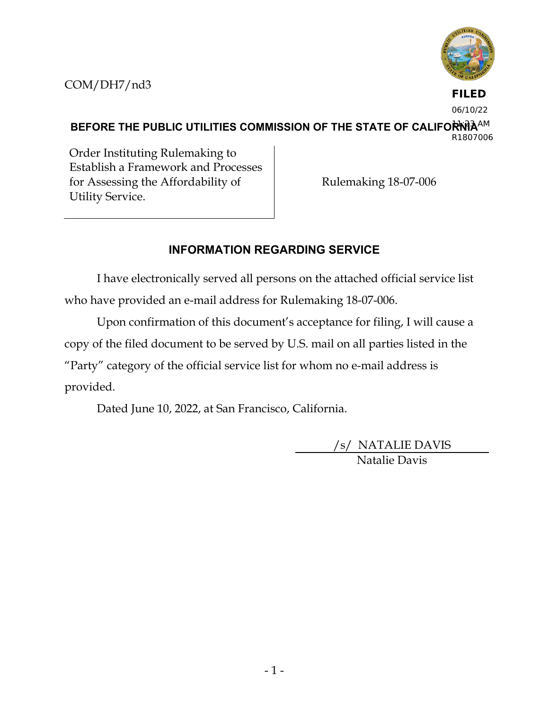



**FILED** 06/10/22

BEFORE THE PUBLIC UTILITIES COMMISSION OF THE STATE OF CALIFOR<sup>I</sup>NIA<sup>AM</sup> R1807006

Order Instituting Rulemaking to Establish a Framework and Processes for Assessing the Affordability of Utility Service.

Rulemaking 18-07-006

# **INFORMATION REGARDING SERVICE**

I have electronically served all persons on the attached official service list who have provided an e-mail address for Rulemaking 18-07-006.

Upon confirmation of this document's acceptance for filing, I will cause a copy of the filed document to be served by U.S. mail on all parties listed in the "Party" category of the official service list for whom no e-mail address is provided.

Dated June 10, 2022, at San Francisco, California.

/s/ NATALIE DAVIS Natalie Davis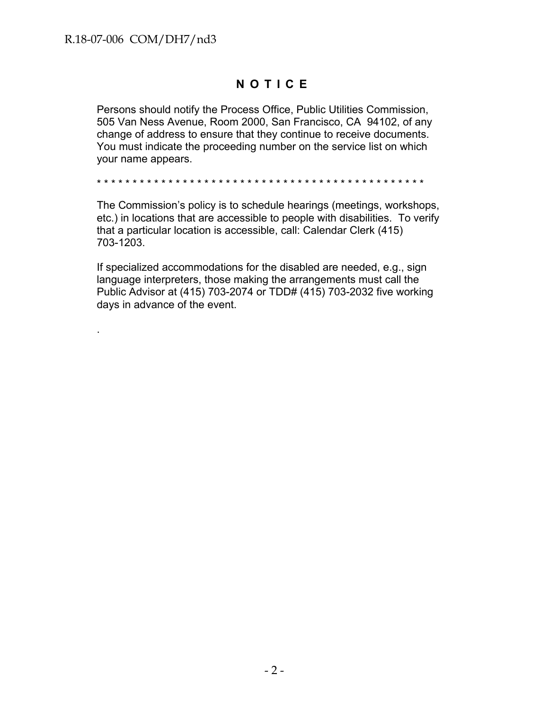.

# **NOTICE**

Persons should notify the Process Office, Public Utilities Commission, 505 Van Ness Avenue, Room 2000, San Francisco, CA 94102, of any change of address to ensure that they continue to receive documents. You must indicate the proceeding number on the service list on which your name appears.

\* \* \* \* \* \* \* \* \* \* \* \* \* \* \* \* \* \* \* \* \* \* \* \* \* \* \* \* \* \* \* \* \* \* \* \* \* \* \* \* \* \* \* \* \* \*

The Commission's policy is to schedule hearings (meetings, workshops, etc.) in locations that are accessible to people with disabilities. To verify that a particular location is accessible, call: Calendar Clerk (415) 703-1203.

If specialized accommodations for the disabled are needed, e.g., sign language interpreters, those making the arrangements must call the Public Advisor at (415) 703-2074 or TDD# (415) 703-2032 five working days in advance of the event.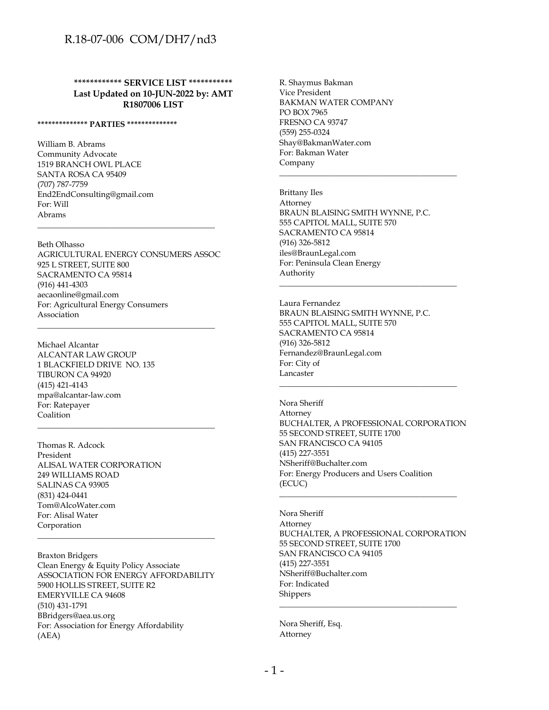**\*\*\*\*\*\*\*\*\*\*\*\* SERVICE LIST \*\*\*\*\*\*\*\*\*\*\* Last Updated on 10-JUN-2022 by: AMT R1807006 LIST**

#### **\*\*\*\*\*\*\*\*\*\*\*\*\*\* PARTIES \*\*\*\*\*\*\*\*\*\*\*\*\*\***

William B. Abrams Community Advocate 1519 BRANCH OWL PLACE SANTA ROSA CA 95409 (707) 787-7759 End2EndConsulting@gmail.com For: Will Abrams

Beth Olhasso AGRICULTURAL ENERGY CONSUMERS ASSOC 925 L STREET, SUITE 800 SACRAMENTO CA 95814 (916) 441-4303 aecaonline@gmail.com For: Agricultural Energy Consumers Association

\_\_\_\_\_\_\_\_\_\_\_\_\_\_\_\_\_\_\_\_\_\_\_\_\_\_\_\_\_\_\_\_\_\_\_\_\_\_\_\_\_\_\_\_

\_\_\_\_\_\_\_\_\_\_\_\_\_\_\_\_\_\_\_\_\_\_\_\_\_\_\_\_\_\_\_\_\_\_\_\_\_\_\_\_\_\_\_\_

\_\_\_\_\_\_\_\_\_\_\_\_\_\_\_\_\_\_\_\_\_\_\_\_\_\_\_\_\_\_\_\_\_\_\_\_\_\_\_\_\_\_\_\_

Michael Alcantar ALCANTAR LAW GROUP 1 BLACKFIELD DRIVE NO. 135 TIBURON CA 94920 (415) 421-4143 mpa@alcantar-law.com For: Ratepayer Coalition

Thomas R. Adcock President ALISAL WATER CORPORATION 249 WILLIAMS ROAD SALINAS CA 93905 (831) 424-0441 Tom@AlcoWater.com For: Alisal Water Corporation

Braxton Bridgers Clean Energy & Equity Policy Associate ASSOCIATION FOR ENERGY AFFORDABILITY 5900 HOLLIS STREET, SUITE R2 EMERYVILLE CA 94608 (510) 431-1791 BBridgers@aea.us.org For: Association for Energy Affordability (AEA)

\_\_\_\_\_\_\_\_\_\_\_\_\_\_\_\_\_\_\_\_\_\_\_\_\_\_\_\_\_\_\_\_\_\_\_\_\_\_\_\_\_\_\_\_

R. Shaymus Bakman Vice President BAKMAN WATER COMPANY PO BOX 7965 FRESNO CA 93747 (559) 255-0324 Shay@BakmanWater.com For: Bakman Water Company

Brittany Iles Attorney BRAUN BLAISING SMITH WYNNE, P.C. 555 CAPITOL MALL, SUITE 570 SACRAMENTO CA 95814 (916) 326-5812 iles@BraunLegal.com For: Peninsula Clean Energy Authority

\_\_\_\_\_\_\_\_\_\_\_\_\_\_\_\_\_\_\_\_\_\_\_\_\_\_\_\_\_\_\_\_\_\_\_\_\_\_\_\_\_\_\_\_

\_\_\_\_\_\_\_\_\_\_\_\_\_\_\_\_\_\_\_\_\_\_\_\_\_\_\_\_\_\_\_\_\_\_\_\_\_\_\_\_\_\_\_\_

Laura Fernandez BRAUN BLAISING SMITH WYNNE, P.C. 555 CAPITOL MALL, SUITE 570 SACRAMENTO CA 95814 (916) 326-5812 Fernandez@BraunLegal.com For: City of Lancaster

Nora Sheriff Attorney BUCHALTER, A PROFESSIONAL CORPORATION 55 SECOND STREET, SUITE 1700 SAN FRANCISCO CA 94105 (415) 227-3551 NSheriff@Buchalter.com For: Energy Producers and Users Coalition (ECUC) \_\_\_\_\_\_\_\_\_\_\_\_\_\_\_\_\_\_\_\_\_\_\_\_\_\_\_\_\_\_\_\_\_\_\_\_\_\_\_\_\_\_\_\_

\_\_\_\_\_\_\_\_\_\_\_\_\_\_\_\_\_\_\_\_\_\_\_\_\_\_\_\_\_\_\_\_\_\_\_\_\_\_\_\_\_\_\_\_

Nora Sheriff Attorney BUCHALTER, A PROFESSIONAL CORPORATION 55 SECOND STREET, SUITE 1700 SAN FRANCISCO CA 94105 (415) 227-3551 NSheriff@Buchalter.com For: Indicated Shippers

\_\_\_\_\_\_\_\_\_\_\_\_\_\_\_\_\_\_\_\_\_\_\_\_\_\_\_\_\_\_\_\_\_\_\_\_\_\_\_\_\_\_\_\_

Nora Sheriff, Esq. Attorney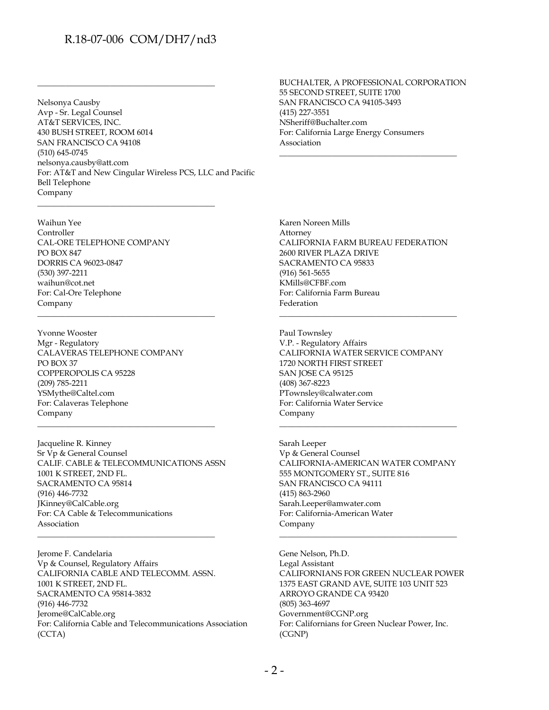\_\_\_\_\_\_\_\_\_\_\_\_\_\_\_\_\_\_\_\_\_\_\_\_\_\_\_\_\_\_\_\_\_\_\_\_\_\_\_\_\_\_\_\_

\_\_\_\_\_\_\_\_\_\_\_\_\_\_\_\_\_\_\_\_\_\_\_\_\_\_\_\_\_\_\_\_\_\_\_\_\_\_\_\_\_\_\_\_

\_\_\_\_\_\_\_\_\_\_\_\_\_\_\_\_\_\_\_\_\_\_\_\_\_\_\_\_\_\_\_\_\_\_\_\_\_\_\_\_\_\_\_\_

Nelsonya Causby Avp - Sr. Legal Counsel AT&T SERVICES, INC. 430 BUSH STREET, ROOM 6014 SAN FRANCISCO CA 94108 (510) 645-0745 nelsonya.causby@att.com For: AT&T and New Cingular Wireless PCS, LLC and Pacific Bell Telephone Company

Waihun Yee Controller CAL-ORE TELEPHONE COMPANY PO BOX 847 DORRIS CA 96023-0847 (530) 397-2211 waihun@cot.net For: Cal-Ore Telephone Company

Yvonne Wooster Mgr - Regulatory CALAVERAS TELEPHONE COMPANY PO BOX 37 COPPEROPOLIS CA 95228 (209) 785-2211 YSMythe@Caltel.com For: Calaveras Telephone Company

Jacqueline R. Kinney Sr Vp & General Counsel CALIF. CABLE & TELECOMMUNICATIONS ASSN 1001 K STREET, 2ND FL. SACRAMENTO CA 95814 (916) 446-7732 JKinney@CalCable.org For: CA Cable & Telecommunications Association

\_\_\_\_\_\_\_\_\_\_\_\_\_\_\_\_\_\_\_\_\_\_\_\_\_\_\_\_\_\_\_\_\_\_\_\_\_\_\_\_\_\_\_\_

\_\_\_\_\_\_\_\_\_\_\_\_\_\_\_\_\_\_\_\_\_\_\_\_\_\_\_\_\_\_\_\_\_\_\_\_\_\_\_\_\_\_\_\_

Jerome F. Candelaria Vp & Counsel, Regulatory Affairs CALIFORNIA CABLE AND TELECOMM. ASSN. 1001 K STREET, 2ND FL. SACRAMENTO CA 95814-3832 (916) 446-7732 Jerome@CalCable.org For: California Cable and Telecommunications Association (CCTA)

BUCHALTER, A PROFESSIONAL CORPORATION 55 SECOND STREET, SUITE 1700 SAN FRANCISCO CA 94105-3493 (415) 227-3551 NSheriff@Buchalter.com For: California Large Energy Consumers Association

\_\_\_\_\_\_\_\_\_\_\_\_\_\_\_\_\_\_\_\_\_\_\_\_\_\_\_\_\_\_\_\_\_\_\_\_\_\_\_\_\_\_\_\_

Karen Noreen Mills Attorney CALIFORNIA FARM BUREAU FEDERATION 2600 RIVER PLAZA DRIVE SACRAMENTO CA 95833 (916) 561-5655 KMills@CFBF.com For: California Farm Bureau Federation

\_\_\_\_\_\_\_\_\_\_\_\_\_\_\_\_\_\_\_\_\_\_\_\_\_\_\_\_\_\_\_\_\_\_\_\_\_\_\_\_\_\_\_\_

Paul Townsley V.P. - Regulatory Affairs CALIFORNIA WATER SERVICE COMPANY 1720 NORTH FIRST STREET SAN JOSE CA 95125 (408) 367-8223 PTownsley@calwater.com For: California Water Service Company

Sarah Leeper Vp & General Counsel CALIFORNIA-AMERICAN WATER COMPANY 555 MONTGOMERY ST., SUITE 816 SAN FRANCISCO CA 94111 (415) 863-2960 Sarah.Leeper@amwater.com For: California-American Water Company

\_\_\_\_\_\_\_\_\_\_\_\_\_\_\_\_\_\_\_\_\_\_\_\_\_\_\_\_\_\_\_\_\_\_\_\_\_\_\_\_\_\_\_\_

\_\_\_\_\_\_\_\_\_\_\_\_\_\_\_\_\_\_\_\_\_\_\_\_\_\_\_\_\_\_\_\_\_\_\_\_\_\_\_\_\_\_\_\_

Gene Nelson, Ph.D. Legal Assistant CALIFORNIANS FOR GREEN NUCLEAR POWER 1375 EAST GRAND AVE, SUITE 103 UNIT 523 ARROYO GRANDE CA 93420 (805) 363-4697 Government@CGNP.org For: Californians for Green Nuclear Power, Inc. (CGNP)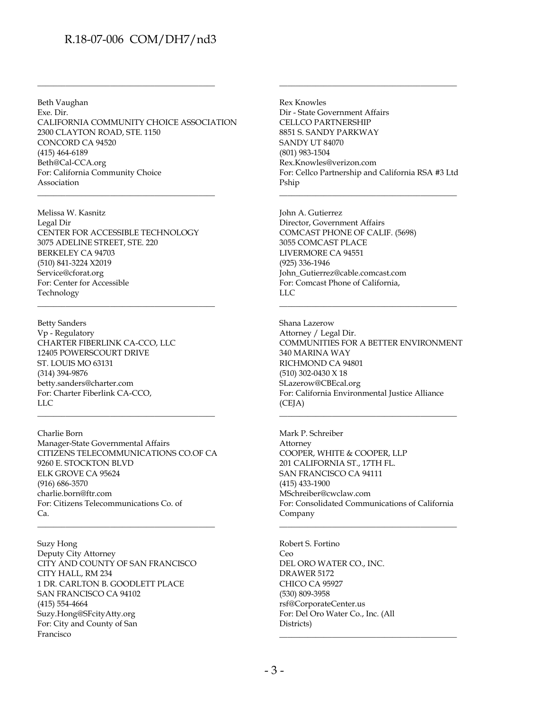Beth Vaughan Exe. Dir. CALIFORNIA COMMUNITY CHOICE ASSOCIATION 2300 CLAYTON ROAD, STE. 1150 CONCORD CA 94520 (415) 464-6189 Beth@Cal-CCA.org For: California Community Choice Association

\_\_\_\_\_\_\_\_\_\_\_\_\_\_\_\_\_\_\_\_\_\_\_\_\_\_\_\_\_\_\_\_\_\_\_\_\_\_\_\_\_\_\_\_

\_\_\_\_\_\_\_\_\_\_\_\_\_\_\_\_\_\_\_\_\_\_\_\_\_\_\_\_\_\_\_\_\_\_\_\_\_\_\_\_\_\_\_\_

Melissa W. Kasnitz Legal Dir CENTER FOR ACCESSIBLE TECHNOLOGY 3075 ADELINE STREET, STE. 220 BERKELEY CA 94703 (510) 841-3224 X2019 Service@cforat.org For: Center for Accessible Technology

\_\_\_\_\_\_\_\_\_\_\_\_\_\_\_\_\_\_\_\_\_\_\_\_\_\_\_\_\_\_\_\_\_\_\_\_\_\_\_\_\_\_\_\_

Betty Sanders Vp - Regulatory CHARTER FIBERLINK CA-CCO, LLC 12405 POWERSCOURT DRIVE ST. LOUIS MO 63131 (314) 394-9876 betty.sanders@charter.com For: Charter Fiberlink CA-CCO, LLC

Charlie Born Manager-State Governmental Affairs CITIZENS TELECOMMUNICATIONS CO.OF CA 9260 E. STOCKTON BLVD ELK GROVE CA 95624 (916) 686-3570 charlie.born@ftr.com For: Citizens Telecommunications Co. of Ca. \_\_\_\_\_\_\_\_\_\_\_\_\_\_\_\_\_\_\_\_\_\_\_\_\_\_\_\_\_\_\_\_\_\_\_\_\_\_\_\_\_\_\_\_

\_\_\_\_\_\_\_\_\_\_\_\_\_\_\_\_\_\_\_\_\_\_\_\_\_\_\_\_\_\_\_\_\_\_\_\_\_\_\_\_\_\_\_\_

Suzy Hong Deputy City Attorney CITY AND COUNTY OF SAN FRANCISCO CITY HALL, RM 234 1 DR. CARLTON B. GOODLETT PLACE SAN FRANCISCO CA 94102 (415) 554-4664 Suzy.Hong@SFcityAtty.org For: City and County of San Francisco

Rex Knowles Dir - State Government Affairs CELLCO PARTNERSHIP 8851 S. SANDY PARKWAY SANDY UT 84070 (801) 983-1504 Rex.Knowles@verizon.com For: Cellco Partnership and California RSA #3 Ltd Pship

\_\_\_\_\_\_\_\_\_\_\_\_\_\_\_\_\_\_\_\_\_\_\_\_\_\_\_\_\_\_\_\_\_\_\_\_\_\_\_\_\_\_\_\_

\_\_\_\_\_\_\_\_\_\_\_\_\_\_\_\_\_\_\_\_\_\_\_\_\_\_\_\_\_\_\_\_\_\_\_\_\_\_\_\_\_\_\_\_

John A. Gutierrez Director, Government Affairs COMCAST PHONE OF CALIF. (5698) 3055 COMCAST PLACE LIVERMORE CA 94551 (925) 336-1946 John\_Gutierrez@cable.comcast.com For: Comcast Phone of California, LLC

Shana Lazerow Attorney / Legal Dir. COMMUNITIES FOR A BETTER ENVIRONMENT 340 MARINA WAY RICHMOND CA 94801 (510) 302-0430 X 18 SLazerow@CBEcal.org For: California Environmental Justice Alliance (CEJA)

\_\_\_\_\_\_\_\_\_\_\_\_\_\_\_\_\_\_\_\_\_\_\_\_\_\_\_\_\_\_\_\_\_\_\_\_\_\_\_\_\_\_\_\_

\_\_\_\_\_\_\_\_\_\_\_\_\_\_\_\_\_\_\_\_\_\_\_\_\_\_\_\_\_\_\_\_\_\_\_\_\_\_\_\_\_\_\_\_

Mark P. Schreiber Attorney COOPER, WHITE & COOPER, LLP 201 CALIFORNIA ST., 17TH FL. SAN FRANCISCO CA 94111 (415) 433-1900 MSchreiber@cwclaw.com For: Consolidated Communications of California Company

\_\_\_\_\_\_\_\_\_\_\_\_\_\_\_\_\_\_\_\_\_\_\_\_\_\_\_\_\_\_\_\_\_\_\_\_\_\_\_\_\_\_\_\_

\_\_\_\_\_\_\_\_\_\_\_\_\_\_\_\_\_\_\_\_\_\_\_\_\_\_\_\_\_\_\_\_\_\_\_\_\_\_\_\_\_\_\_\_

Robert S. Fortino Ceo DEL ORO WATER CO., INC. DRAWER 5172 CHICO CA 95927 (530) 809-3958 rsf@CorporateCenter.us For: Del Oro Water Co., Inc. (All Districts)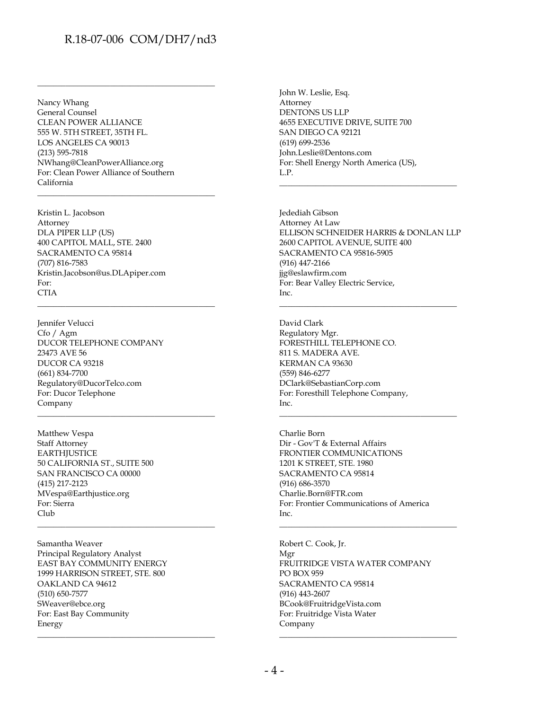\_\_\_\_\_\_\_\_\_\_\_\_\_\_\_\_\_\_\_\_\_\_\_\_\_\_\_\_\_\_\_\_\_\_\_\_\_\_\_\_\_\_\_\_

\_\_\_\_\_\_\_\_\_\_\_\_\_\_\_\_\_\_\_\_\_\_\_\_\_\_\_\_\_\_\_\_\_\_\_\_\_\_\_\_\_\_\_\_

\_\_\_\_\_\_\_\_\_\_\_\_\_\_\_\_\_\_\_\_\_\_\_\_\_\_\_\_\_\_\_\_\_\_\_\_\_\_\_\_\_\_\_\_

\_\_\_\_\_\_\_\_\_\_\_\_\_\_\_\_\_\_\_\_\_\_\_\_\_\_\_\_\_\_\_\_\_\_\_\_\_\_\_\_\_\_\_\_

\_\_\_\_\_\_\_\_\_\_\_\_\_\_\_\_\_\_\_\_\_\_\_\_\_\_\_\_\_\_\_\_\_\_\_\_\_\_\_\_\_\_\_\_

\_\_\_\_\_\_\_\_\_\_\_\_\_\_\_\_\_\_\_\_\_\_\_\_\_\_\_\_\_\_\_\_\_\_\_\_\_\_\_\_\_\_\_\_

Nancy Whang General Counsel CLEAN POWER ALLIANCE 555 W. 5TH STREET, 35TH FL. LOS ANGELES CA 90013 (213) 595-7818 NWhang@CleanPowerAlliance.org For: Clean Power Alliance of Southern California

Kristin L. Jacobson Attorney DLA PIPER LLP (US) 400 CAPITOL MALL, STE. 2400 SACRAMENTO CA 95814 (707) 816-7583 Kristin.Jacobson@us.DLApiper.com For: CTIA

Jennifer Velucci Cfo / Agm DUCOR TELEPHONE COMPANY 23473 AVE 56 DUCOR CA 93218 (661) 834-7700 Regulatory@DucorTelco.com For: Ducor Telephone Company

Matthew Vespa Staff Attorney **EARTHJUSTICE** 50 CALIFORNIA ST., SUITE 500 SAN FRANCISCO CA 00000 (415) 217-2123 MVespa@Earthjustice.org For: Sierra Club

Samantha Weaver Principal Regulatory Analyst EAST BAY COMMUNITY ENERGY 1999 HARRISON STREET, STE. 800 OAKLAND CA 94612 (510) 650-7577 SWeaver@ebce.org For: East Bay Community Energy

John W. Leslie, Esq. Attorney DENTONS US LLP 4655 EXECUTIVE DRIVE, SUITE 700 SAN DIEGO CA 92121 (619) 699-2536 John.Leslie@Dentons.com For: Shell Energy North America (US), L.P.

Jedediah Gibson Attorney At Law ELLISON SCHNEIDER HARRIS & DONLAN LLP 2600 CAPITOL AVENUE, SUITE 400 SACRAMENTO CA 95816-5905 (916) 447-2166 jjg@eslawfirm.com For: Bear Valley Electric Service, Inc.

\_\_\_\_\_\_\_\_\_\_\_\_\_\_\_\_\_\_\_\_\_\_\_\_\_\_\_\_\_\_\_\_\_\_\_\_\_\_\_\_\_\_\_\_

\_\_\_\_\_\_\_\_\_\_\_\_\_\_\_\_\_\_\_\_\_\_\_\_\_\_\_\_\_\_\_\_\_\_\_\_\_\_\_\_\_\_\_\_

\_\_\_\_\_\_\_\_\_\_\_\_\_\_\_\_\_\_\_\_\_\_\_\_\_\_\_\_\_\_\_\_\_\_\_\_\_\_\_\_\_\_\_\_

\_\_\_\_\_\_\_\_\_\_\_\_\_\_\_\_\_\_\_\_\_\_\_\_\_\_\_\_\_\_\_\_\_\_\_\_\_\_\_\_\_\_\_\_

David Clark Regulatory Mgr. FORESTHILL TELEPHONE CO. 811 S. MADERA AVE. KERMAN CA 93630 (559) 846-6277 DClark@SebastianCorp.com For: Foresthill Telephone Company, Inc.

Charlie Born Dir - Gov'T & External Affairs FRONTIER COMMUNICATIONS 1201 K STREET, STE. 1980 SACRAMENTO CA 95814 (916) 686-3570 Charlie.Born@FTR.com For: Frontier Communications of America Inc.

Robert C. Cook, Jr. Mgr FRUITRIDGE VISTA WATER COMPANY PO BOX 959 SACRAMENTO CA 95814 (916) 443-2607 BCook@FruitridgeVista.com For: Fruitridge Vista Water Company \_\_\_\_\_\_\_\_\_\_\_\_\_\_\_\_\_\_\_\_\_\_\_\_\_\_\_\_\_\_\_\_\_\_\_\_\_\_\_\_\_\_\_\_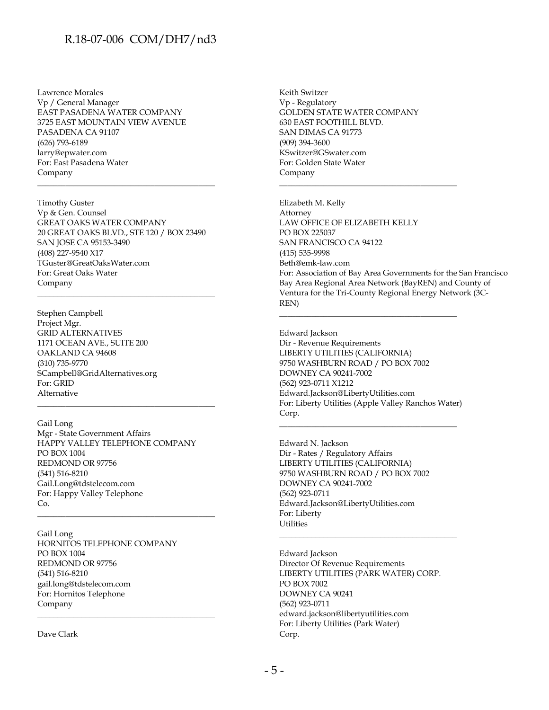Lawrence Morales Vp / General Manager EAST PASADENA WATER COMPANY 3725 EAST MOUNTAIN VIEW AVENUE PASADENA CA 91107 (626) 793-6189 larry@epwater.com For: East Pasadena Water Company

Timothy Guster Vp & Gen. Counsel GREAT OAKS WATER COMPANY 20 GREAT OAKS BLVD., STE 120 / BOX 23490 SAN JOSE CA 95153-3490 (408) 227-9540 X17 TGuster@GreatOaksWater.com For: Great Oaks Water Company

\_\_\_\_\_\_\_\_\_\_\_\_\_\_\_\_\_\_\_\_\_\_\_\_\_\_\_\_\_\_\_\_\_\_\_\_\_\_\_\_\_\_\_\_

\_\_\_\_\_\_\_\_\_\_\_\_\_\_\_\_\_\_\_\_\_\_\_\_\_\_\_\_\_\_\_\_\_\_\_\_\_\_\_\_\_\_\_\_

\_\_\_\_\_\_\_\_\_\_\_\_\_\_\_\_\_\_\_\_\_\_\_\_\_\_\_\_\_\_\_\_\_\_\_\_\_\_\_\_\_\_\_\_

Stephen Campbell Project Mgr. GRID ALTERNATIVES 1171 OCEAN AVE., SUITE 200 OAKLAND CA 94608 (310) 735-9770 SCampbell@GridAlternatives.org For: GRID Alternative

Gail Long Mgr - State Government Affairs HAPPY VALLEY TELEPHONE COMPANY PO BOX 1004 REDMOND OR 97756 (541) 516-8210 Gail.Long@tdstelecom.com For: Happy Valley Telephone Co.

\_\_\_\_\_\_\_\_\_\_\_\_\_\_\_\_\_\_\_\_\_\_\_\_\_\_\_\_\_\_\_\_\_\_\_\_\_\_\_\_\_\_\_\_

Gail Long HORNITOS TELEPHONE COMPANY PO BOX 1004 REDMOND OR 97756 (541) 516-8210 gail.long@tdstelecom.com For: Hornitos Telephone Company \_\_\_\_\_\_\_\_\_\_\_\_\_\_\_\_\_\_\_\_\_\_\_\_\_\_\_\_\_\_\_\_\_\_\_\_\_\_\_\_\_\_\_\_

Dave Clark

Keith Switzer Vp - Regulatory GOLDEN STATE WATER COMPANY 630 EAST FOOTHILL BLVD. SAN DIMAS CA 91773 (909) 394-3600 KSwitzer@GSwater.com For: Golden State Water Company

\_\_\_\_\_\_\_\_\_\_\_\_\_\_\_\_\_\_\_\_\_\_\_\_\_\_\_\_\_\_\_\_\_\_\_\_\_\_\_\_\_\_\_\_

Elizabeth M. Kelly Attorney LAW OFFICE OF ELIZABETH KELLY PO BOX 225037 SAN FRANCISCO CA 94122 (415) 535-9998 Beth@emk-law.com For: Association of Bay Area Governments for the San Francisco Bay Area Regional Area Network (BayREN) and County of Ventura for the Tri-County Regional Energy Network (3C-REN)

Edward Jackson Dir - Revenue Requirements LIBERTY UTILITIES (CALIFORNIA) 9750 WASHBURN ROAD / PO BOX 7002 DOWNEY CA 90241-7002 (562) 923-0711 X1212 Edward.Jackson@LibertyUtilities.com For: Liberty Utilities (Apple Valley Ranchos Water) Corp.

\_\_\_\_\_\_\_\_\_\_\_\_\_\_\_\_\_\_\_\_\_\_\_\_\_\_\_\_\_\_\_\_\_\_\_\_\_\_\_\_\_\_\_\_

\_\_\_\_\_\_\_\_\_\_\_\_\_\_\_\_\_\_\_\_\_\_\_\_\_\_\_\_\_\_\_\_\_\_\_\_\_\_\_\_\_\_\_\_

Edward N. Jackson Dir - Rates / Regulatory Affairs LIBERTY UTILITIES (CALIFORNIA) 9750 WASHBURN ROAD / PO BOX 7002 DOWNEY CA 90241-7002 (562) 923-0711 Edward.Jackson@LibertyUtilities.com For: Liberty Utilities

Edward Jackson Director Of Revenue Requirements LIBERTY UTILITIES (PARK WATER) CORP. PO BOX 7002 DOWNEY CA 90241 (562) 923-0711 edward.jackson@libertyutilities.com For: Liberty Utilities (Park Water) Corp.

\_\_\_\_\_\_\_\_\_\_\_\_\_\_\_\_\_\_\_\_\_\_\_\_\_\_\_\_\_\_\_\_\_\_\_\_\_\_\_\_\_\_\_\_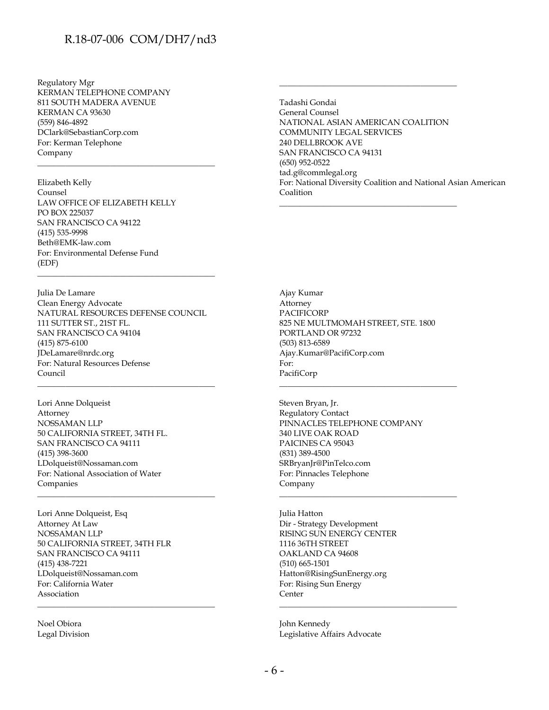Regulatory Mgr KERMAN TELEPHONE COMPANY 811 SOUTH MADERA AVENUE KERMAN CA 93630 (559) 846-4892 DClark@SebastianCorp.com For: Kerman Telephone Company

Elizabeth Kelly Counsel LAW OFFICE OF ELIZABETH KELLY PO BOX 225037 SAN FRANCISCO CA 94122 (415) 535-9998 Beth@EMK-law.com For: Environmental Defense Fund (EDF)

\_\_\_\_\_\_\_\_\_\_\_\_\_\_\_\_\_\_\_\_\_\_\_\_\_\_\_\_\_\_\_\_\_\_\_\_\_\_\_\_\_\_\_\_

Julia De Lamare Clean Energy Advocate NATURAL RESOURCES DEFENSE COUNCIL 111 SUTTER ST., 21ST FL. SAN FRANCISCO CA 94104 (415) 875-6100 JDeLamare@nrdc.org For: Natural Resources Defense Council

\_\_\_\_\_\_\_\_\_\_\_\_\_\_\_\_\_\_\_\_\_\_\_\_\_\_\_\_\_\_\_\_\_\_\_\_\_\_\_\_\_\_\_\_

\_\_\_\_\_\_\_\_\_\_\_\_\_\_\_\_\_\_\_\_\_\_\_\_\_\_\_\_\_\_\_\_\_\_\_\_\_\_\_\_\_\_\_\_

\_\_\_\_\_\_\_\_\_\_\_\_\_\_\_\_\_\_\_\_\_\_\_\_\_\_\_\_\_\_\_\_\_\_\_\_\_\_\_\_\_\_\_\_

\_\_\_\_\_\_\_\_\_\_\_\_\_\_\_\_\_\_\_\_\_\_\_\_\_\_\_\_\_\_\_\_\_\_\_\_\_\_\_\_\_\_\_\_

Lori Anne Dolqueist Attorney NOSSAMAN LLP 50 CALIFORNIA STREET, 34TH FL. SAN FRANCISCO CA 94111 (415) 398-3600 LDolqueist@Nossaman.com For: National Association of Water Companies

Lori Anne Dolqueist, Esq Attorney At Law NOSSAMAN LLP 50 CALIFORNIA STREET, 34TH FLR SAN FRANCISCO CA 94111 (415) 438-7221 LDolqueist@Nossaman.com For: California Water Association

Noel Obiora Legal Division Tadashi Gondai General Counsel NATIONAL ASIAN AMERICAN COALITION COMMUNITY LEGAL SERVICES 240 DELLBROOK AVE SAN FRANCISCO CA 94131 (650) 952-0522 tad.g@commlegal.org For: National Diversity Coalition and National Asian American Coalition

\_\_\_\_\_\_\_\_\_\_\_\_\_\_\_\_\_\_\_\_\_\_\_\_\_\_\_\_\_\_\_\_\_\_\_\_\_\_\_\_\_\_\_\_

\_\_\_\_\_\_\_\_\_\_\_\_\_\_\_\_\_\_\_\_\_\_\_\_\_\_\_\_\_\_\_\_\_\_\_\_\_\_\_\_\_\_\_\_

Ajay Kumar Attorney PACIFICORP 825 NE MULTMOMAH STREET, STE. 1800 PORTLAND OR 97232 (503) 813-6589 Ajay.Kumar@PacifiCorp.com For: PacifiCorp

\_\_\_\_\_\_\_\_\_\_\_\_\_\_\_\_\_\_\_\_\_\_\_\_\_\_\_\_\_\_\_\_\_\_\_\_\_\_\_\_\_\_\_\_

\_\_\_\_\_\_\_\_\_\_\_\_\_\_\_\_\_\_\_\_\_\_\_\_\_\_\_\_\_\_\_\_\_\_\_\_\_\_\_\_\_\_\_\_

\_\_\_\_\_\_\_\_\_\_\_\_\_\_\_\_\_\_\_\_\_\_\_\_\_\_\_\_\_\_\_\_\_\_\_\_\_\_\_\_\_\_\_\_

Steven Bryan, Jr. Regulatory Contact PINNACLES TELEPHONE COMPANY 340 LIVE OAK ROAD PAICINES CA 95043 (831) 389-4500 SRBryanJr@PinTelco.com For: Pinnacles Telephone Company

Julia Hatton Dir - Strategy Development RISING SUN ENERGY CENTER 1116 36TH STREET OAKLAND CA 94608 (510) 665-1501 Hatton@RisingSunEnergy.org For: Rising Sun Energy **Center** 

John Kennedy Legislative Affairs Advocate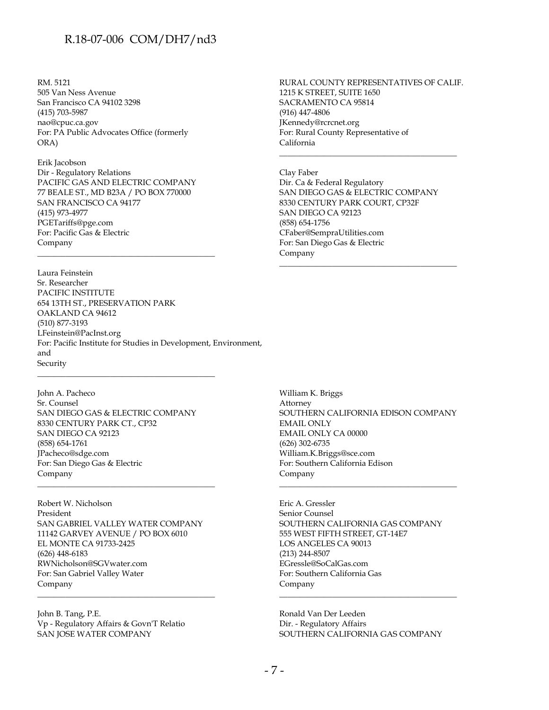RM. 5121 505 Van Ness Avenue San Francisco CA 94102 3298 (415) 703-5987 nao@cpuc.ca.gov For: PA Public Advocates Office (formerly ORA)

Erik Jacobson Dir - Regulatory Relations PACIFIC GAS AND ELECTRIC COMPANY 77 BEALE ST., MD B23A / PO BOX 770000 SAN FRANCISCO CA 94177 (415) 973-4977 PGETariffs@pge.com For: Pacific Gas & Electric Company

\_\_\_\_\_\_\_\_\_\_\_\_\_\_\_\_\_\_\_\_\_\_\_\_\_\_\_\_\_\_\_\_\_\_\_\_\_\_\_\_\_\_\_\_

Laura Feinstein Sr. Researcher PACIFIC INSTITUTE 654 13TH ST., PRESERVATION PARK OAKLAND CA 94612 (510) 877-3193 LFeinstein@PacInst.org For: Pacific Institute for Studies in Development, Environment, and Security

John A. Pacheco Sr. Counsel SAN DIEGO GAS & ELECTRIC COMPANY 8330 CENTURY PARK CT., CP32 SAN DIEGO CA 92123 (858) 654-1761 JPacheco@sdge.com For: San Diego Gas & Electric Company

\_\_\_\_\_\_\_\_\_\_\_\_\_\_\_\_\_\_\_\_\_\_\_\_\_\_\_\_\_\_\_\_\_\_\_\_\_\_\_\_\_\_\_\_

\_\_\_\_\_\_\_\_\_\_\_\_\_\_\_\_\_\_\_\_\_\_\_\_\_\_\_\_\_\_\_\_\_\_\_\_\_\_\_\_\_\_\_\_

Robert W. Nicholson President SAN GABRIEL VALLEY WATER COMPANY 11142 GARVEY AVENUE / PO BOX 6010 EL MONTE CA 91733-2425 (626) 448-6183 RWNicholson@SGVwater.com For: San Gabriel Valley Water Company

\_\_\_\_\_\_\_\_\_\_\_\_\_\_\_\_\_\_\_\_\_\_\_\_\_\_\_\_\_\_\_\_\_\_\_\_\_\_\_\_\_\_\_\_

John B. Tang, P.E. Vp - Regulatory Affairs & Govn'T Relatio SAN JOSE WATER COMPANY

RURAL COUNTY REPRESENTATIVES OF CALIF. 1215 K STREET, SUITE 1650 SACRAMENTO CA 95814 (916) 447-4806 JKennedy@rcrcnet.org For: Rural County Representative of California

\_\_\_\_\_\_\_\_\_\_\_\_\_\_\_\_\_\_\_\_\_\_\_\_\_\_\_\_\_\_\_\_\_\_\_\_\_\_\_\_\_\_\_\_

Clay Faber Dir. Ca & Federal Regulatory SAN DIEGO GAS & ELECTRIC COMPANY 8330 CENTURY PARK COURT, CP32F SAN DIEGO CA 92123 (858) 654-1756 CFaber@SempraUtilities.com For: San Diego Gas & Electric Company

\_\_\_\_\_\_\_\_\_\_\_\_\_\_\_\_\_\_\_\_\_\_\_\_\_\_\_\_\_\_\_\_\_\_\_\_\_\_\_\_\_\_\_\_

William K. Briggs Attorney SOUTHERN CALIFORNIA EDISON COMPANY EMAIL ONLY EMAIL ONLY CA 00000 (626) 302-6735 William.K.Briggs@sce.com For: Southern California Edison Company

\_\_\_\_\_\_\_\_\_\_\_\_\_\_\_\_\_\_\_\_\_\_\_\_\_\_\_\_\_\_\_\_\_\_\_\_\_\_\_\_\_\_\_\_

Eric A. Gressler Senior Counsel SOUTHERN CALIFORNIA GAS COMPANY 555 WEST FIFTH STREET, GT-14E7 LOS ANGELES CA 90013 (213) 244-8507 EGressle@SoCalGas.com For: Southern California Gas Company

Ronald Van Der Leeden Dir. - Regulatory Affairs SOUTHERN CALIFORNIA GAS COMPANY

\_\_\_\_\_\_\_\_\_\_\_\_\_\_\_\_\_\_\_\_\_\_\_\_\_\_\_\_\_\_\_\_\_\_\_\_\_\_\_\_\_\_\_\_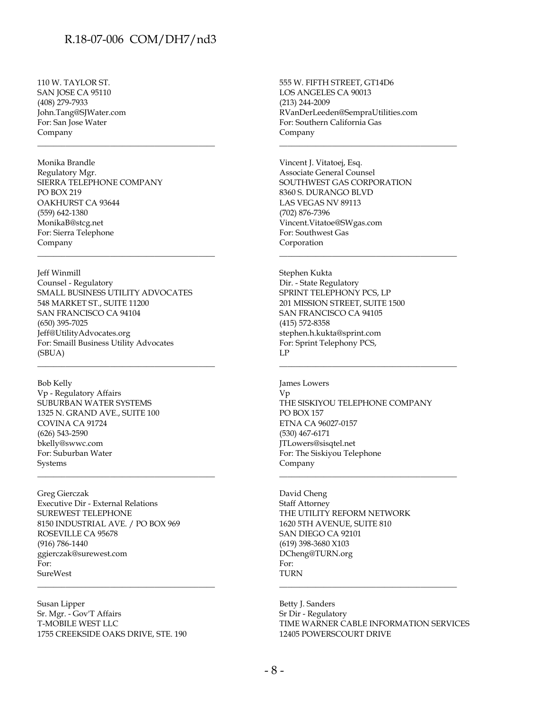\_\_\_\_\_\_\_\_\_\_\_\_\_\_\_\_\_\_\_\_\_\_\_\_\_\_\_\_\_\_\_\_\_\_\_\_\_\_\_\_\_\_\_\_

\_\_\_\_\_\_\_\_\_\_\_\_\_\_\_\_\_\_\_\_\_\_\_\_\_\_\_\_\_\_\_\_\_\_\_\_\_\_\_\_\_\_\_\_

110 W. TAYLOR ST. SAN JOSE CA 95110 (408) 279-7933 John.Tang@SJWater.com For: San Jose Water Company

Monika Brandle Regulatory Mgr. SIERRA TELEPHONE COMPANY PO BOX 219 OAKHURST CA 93644 (559) 642-1380 MonikaB@stcg.net For: Sierra Telephone Company

Jeff Winmill Counsel - Regulatory SMALL BUSINESS UTILITY ADVOCATES 548 MARKET ST., SUITE 11200 SAN FRANCISCO CA 94104 (650) 395-7025 Jeff@UtilityAdvocates.org For: Smaill Business Utility Advocates (SBUA)

\_\_\_\_\_\_\_\_\_\_\_\_\_\_\_\_\_\_\_\_\_\_\_\_\_\_\_\_\_\_\_\_\_\_\_\_\_\_\_\_\_\_\_\_

\_\_\_\_\_\_\_\_\_\_\_\_\_\_\_\_\_\_\_\_\_\_\_\_\_\_\_\_\_\_\_\_\_\_\_\_\_\_\_\_\_\_\_\_

Bob Kelly Vp - Regulatory Affairs SUBURBAN WATER SYSTEMS 1325 N. GRAND AVE., SUITE 100 COVINA CA 91724 (626) 543-2590 bkelly@swwc.com For: Suburban Water Systems

Greg Gierczak Executive Dir - External Relations SUREWEST TELEPHONE 8150 INDUSTRIAL AVE. / PO BOX 969 ROSEVILLE CA 95678 (916) 786-1440 ggierczak@surewest.com For: SureWest

Susan Lipper Sr. Mgr. - Gov'T Affairs T-MOBILE WEST LLC 1755 CREEKSIDE OAKS DRIVE, STE. 190

\_\_\_\_\_\_\_\_\_\_\_\_\_\_\_\_\_\_\_\_\_\_\_\_\_\_\_\_\_\_\_\_\_\_\_\_\_\_\_\_\_\_\_\_

555 W. FIFTH STREET, GT14D6 LOS ANGELES CA 90013 (213) 244-2009 RVanDerLeeden@SempraUtilities.com For: Southern California Gas Company

\_\_\_\_\_\_\_\_\_\_\_\_\_\_\_\_\_\_\_\_\_\_\_\_\_\_\_\_\_\_\_\_\_\_\_\_\_\_\_\_\_\_\_\_

\_\_\_\_\_\_\_\_\_\_\_\_\_\_\_\_\_\_\_\_\_\_\_\_\_\_\_\_\_\_\_\_\_\_\_\_\_\_\_\_\_\_\_\_

\_\_\_\_\_\_\_\_\_\_\_\_\_\_\_\_\_\_\_\_\_\_\_\_\_\_\_\_\_\_\_\_\_\_\_\_\_\_\_\_\_\_\_\_

Vincent J. Vitatoej, Esq. Associate General Counsel SOUTHWEST GAS CORPORATION 8360 S. DURANGO BLVD LAS VEGAS NV 89113 (702) 876-7396 Vincent.Vitatoe@SWgas.com For: Southwest Gas Corporation

Stephen Kukta Dir. - State Regulatory SPRINT TELEPHONY PCS, LP 201 MISSION STREET, SUITE 1500 SAN FRANCISCO CA 94105 (415) 572-8358 stephen.h.kukta@sprint.com For: Sprint Telephony PCS, LP

James Lowers Vp THE SISKIYOU TELEPHONE COMPANY PO BOX 157 ETNA CA 96027-0157 (530) 467-6171 JTLowers@sisqtel.net For: The Siskiyou Telephone Company

\_\_\_\_\_\_\_\_\_\_\_\_\_\_\_\_\_\_\_\_\_\_\_\_\_\_\_\_\_\_\_\_\_\_\_\_\_\_\_\_\_\_\_\_

David Cheng Staff Attorney THE UTILITY REFORM NETWORK 1620 5TH AVENUE, SUITE 810 SAN DIEGO CA 92101 (619) 398-3680 X103 DCheng@TURN.org For: TURN

Betty J. Sanders Sr Dir - Regulatory TIME WARNER CABLE INFORMATION SERVICES 12405 POWERSCOURT DRIVE

\_\_\_\_\_\_\_\_\_\_\_\_\_\_\_\_\_\_\_\_\_\_\_\_\_\_\_\_\_\_\_\_\_\_\_\_\_\_\_\_\_\_\_\_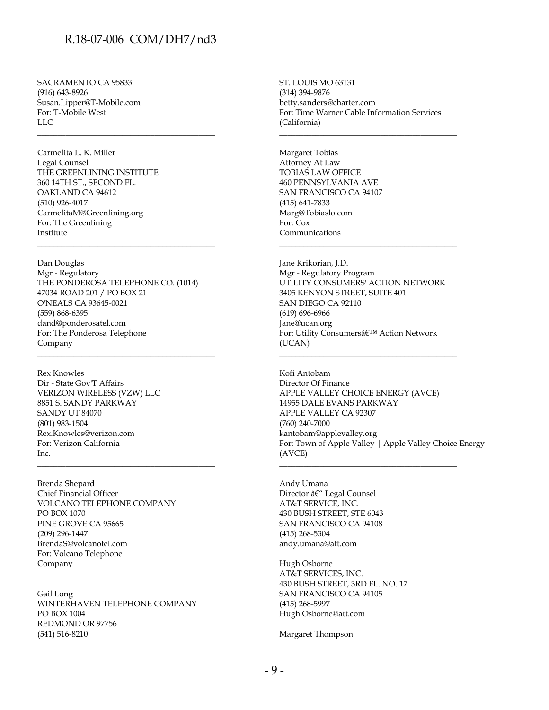\_\_\_\_\_\_\_\_\_\_\_\_\_\_\_\_\_\_\_\_\_\_\_\_\_\_\_\_\_\_\_\_\_\_\_\_\_\_\_\_\_\_\_\_

SACRAMENTO CA 95833 (916) 643-8926 Susan.Lipper@T-Mobile.com For: T-Mobile West  $LI$ 

Carmelita L. K. Miller Legal Counsel THE GREENLINING INSTITUTE 360 14TH ST., SECOND FL. OAKLAND CA 94612 (510) 926-4017 CarmelitaM@Greenlining.org For: The Greenlining Institute

Dan Douglas Mgr - Regulatory THE PONDEROSA TELEPHONE CO. (1014) 47034 ROAD 201 / PO BOX 21 O'NEALS CA 93645-0021 (559) 868-6395 dand@ponderosatel.com For: The Ponderosa Telephone Company

\_\_\_\_\_\_\_\_\_\_\_\_\_\_\_\_\_\_\_\_\_\_\_\_\_\_\_\_\_\_\_\_\_\_\_\_\_\_\_\_\_\_\_\_

\_\_\_\_\_\_\_\_\_\_\_\_\_\_\_\_\_\_\_\_\_\_\_\_\_\_\_\_\_\_\_\_\_\_\_\_\_\_\_\_\_\_\_\_

\_\_\_\_\_\_\_\_\_\_\_\_\_\_\_\_\_\_\_\_\_\_\_\_\_\_\_\_\_\_\_\_\_\_\_\_\_\_\_\_\_\_\_\_

Rex Knowles Dir - State Gov'T Affairs VERIZON WIRELESS (VZW) LLC 8851 S. SANDY PARKWAY SANDY UT 84070 (801) 983-1504 Rex.Knowles@verizon.com For: Verizon California  $Inc$ 

Brenda Shepard Chief Financial Officer VOLCANO TELEPHONE COMPANY PO BOX 1070 PINE GROVE CA 95665 (209) 296-1447 BrendaS@volcanotel.com For: Volcano Telephone Company

Gail Long WINTERHAVEN TELEPHONE COMPANY PO BOX 1004 REDMOND OR 97756 (541) 516-8210

\_\_\_\_\_\_\_\_\_\_\_\_\_\_\_\_\_\_\_\_\_\_\_\_\_\_\_\_\_\_\_\_\_\_\_\_\_\_\_\_\_\_\_\_

ST. LOUIS MO 63131 (314) 394-9876 betty.sanders@charter.com For: Time Warner Cable Information Services (California)

\_\_\_\_\_\_\_\_\_\_\_\_\_\_\_\_\_\_\_\_\_\_\_\_\_\_\_\_\_\_\_\_\_\_\_\_\_\_\_\_\_\_\_\_

Margaret Tobias Attorney At Law TOBIAS LAW OFFICE 460 PENNSYLVANIA AVE SAN FRANCISCO CA 94107 (415) 641-7833 Marg@Tobiaslo.com For: Cox Communications

Jane Krikorian, J.D. Mgr - Regulatory Program UTILITY CONSUMERS' ACTION NETWORK 3405 KENYON STREET, SUITE 401 SAN DIEGO CA 92110 (619) 696-6966 Jane@ucan.org For: Utility Consumers' Action Network (UCAN)

\_\_\_\_\_\_\_\_\_\_\_\_\_\_\_\_\_\_\_\_\_\_\_\_\_\_\_\_\_\_\_\_\_\_\_\_\_\_\_\_\_\_\_\_

\_\_\_\_\_\_\_\_\_\_\_\_\_\_\_\_\_\_\_\_\_\_\_\_\_\_\_\_\_\_\_\_\_\_\_\_\_\_\_\_\_\_\_\_

\_\_\_\_\_\_\_\_\_\_\_\_\_\_\_\_\_\_\_\_\_\_\_\_\_\_\_\_\_\_\_\_\_\_\_\_\_\_\_\_\_\_\_\_

Kofi Antobam Director Of Finance APPLE VALLEY CHOICE ENERGY (AVCE) 14955 DALE EVANS PARKWAY APPLE VALLEY CA 92307 (760) 240-7000 kantobam@applevalley.org For: Town of Apple Valley | Apple Valley Choice Energy (AVCE)

Andy Umana Director â€" Legal Counsel AT&T SERVICE, INC. 430 BUSH STREET, STE 6043 SAN FRANCISCO CA 94108 (415) 268-5304 andy.umana@att.com

Hugh Osborne AT&T SERVICES, INC. 430 BUSH STREET, 3RD FL. NO. 17 SAN FRANCISCO CA 94105 (415) 268-5997 Hugh.Osborne@att.com

Margaret Thompson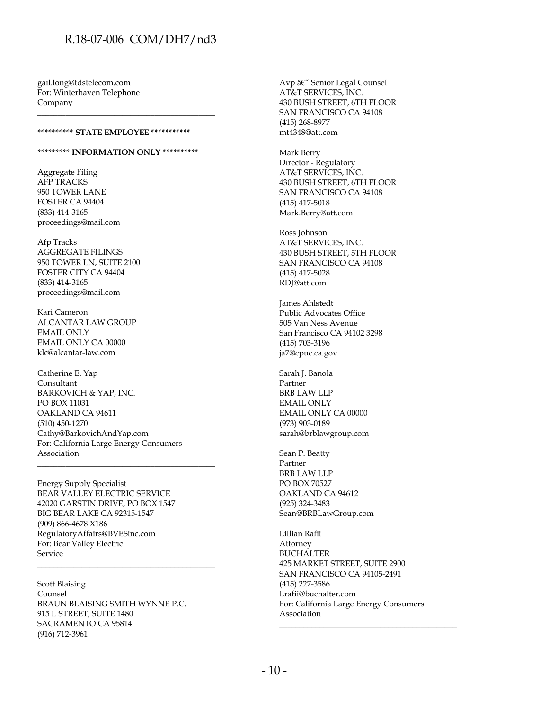gail.long@tdstelecom.com For: Winterhaven Telephone Company

#### **\*\*\*\*\*\*\*\*\*\* STATE EMPLOYEE \*\*\*\*\*\*\*\*\*\*\***

#### **\*\*\*\*\*\*\*\*\* INFORMATION ONLY \*\*\*\*\*\*\*\*\*\***

\_\_\_\_\_\_\_\_\_\_\_\_\_\_\_\_\_\_\_\_\_\_\_\_\_\_\_\_\_\_\_\_\_\_\_\_\_\_\_\_\_\_\_\_

Aggregate Filing AFP TRACKS 950 TOWER LANE FOSTER CA 94404 (833) 414-3165 proceedings@mail.com

Afp Tracks AGGREGATE FILINGS 950 TOWER LN, SUITE 2100 FOSTER CITY CA 94404 (833) 414-3165 proceedings@mail.com

Kari Cameron ALCANTAR LAW GROUP EMAIL ONLY EMAIL ONLY CA 00000 klc@alcantar-law.com

Catherine E. Yap Consultant BARKOVICH & YAP, INC. PO BOX 11031 OAKLAND CA 94611 (510) 450-1270 Cathy@BarkovichAndYap.com For: California Large Energy Consumers Association

\_\_\_\_\_\_\_\_\_\_\_\_\_\_\_\_\_\_\_\_\_\_\_\_\_\_\_\_\_\_\_\_\_\_\_\_\_\_\_\_\_\_\_\_

\_\_\_\_\_\_\_\_\_\_\_\_\_\_\_\_\_\_\_\_\_\_\_\_\_\_\_\_\_\_\_\_\_\_\_\_\_\_\_\_\_\_\_\_

Energy Supply Specialist BEAR VALLEY ELECTRIC SERVICE 42020 GARSTIN DRIVE, PO BOX 1547 BIG BEAR LAKE CA 92315-1547 (909) 866-4678 X186 RegulatoryAffairs@BVESinc.com For: Bear Valley Electric Service

Scott Blaising Counsel BRAUN BLAISING SMITH WYNNE P.C. 915 L STREET, SUITE 1480 SACRAMENTO CA 95814 (916) 712-3961

Avp – Senior Legal Counsel AT&T SERVICES, INC. 430 BUSH STREET, 6TH FLOOR SAN FRANCISCO CA 94108 (415) 268-8977 mt4348@att.com

Mark Berry Director - Regulatory AT&T SERVICES, INC. 430 BUSH STREET, 6TH FLOOR SAN FRANCISCO CA 94108 (415) 417-5018 Mark.Berry@att.com

Ross Johnson AT&T SERVICES, INC. 430 BUSH STREET, 5TH FLOOR SAN FRANCISCO CA 94108 (415) 417-5028 RDJ@att.com

James Ahlstedt Public Advocates Office 505 Van Ness Avenue San Francisco CA 94102 3298 (415) 703-3196 ja7@cpuc.ca.gov

Sarah J. Banola Partner BRB LAW LLP EMAIL ONLY EMAIL ONLY CA 00000 (973) 903-0189 sarah@brblawgroup.com

Sean P. Beatty Partner BRB LAW LLP PO BOX 70527 OAKLAND CA 94612 (925) 324-3483 Sean@BRBLawGroup.com

Lillian Rafii Attorney BUCHALTER 425 MARKET STREET, SUITE 2900 SAN FRANCISCO CA 94105-2491 (415) 227-3586 Lrafii@buchalter.com For: California Large Energy Consumers Association \_\_\_\_\_\_\_\_\_\_\_\_\_\_\_\_\_\_\_\_\_\_\_\_\_\_\_\_\_\_\_\_\_\_\_\_\_\_\_\_\_\_\_\_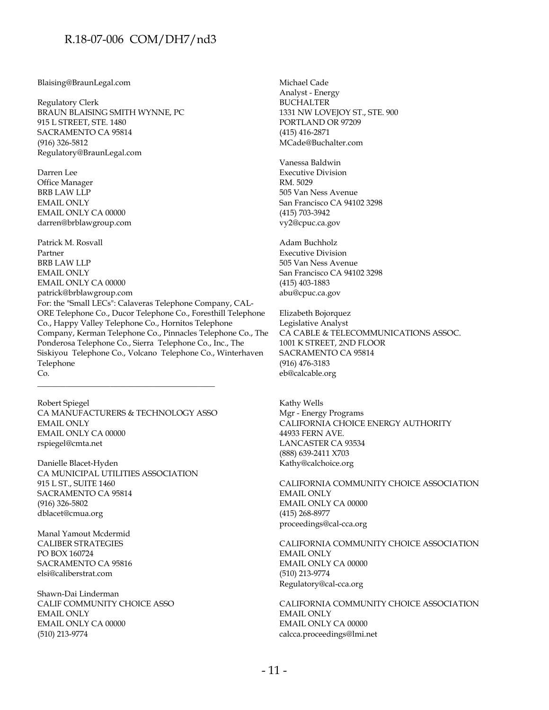#### Blaising@BraunLegal.com

Regulatory Clerk BRAUN BLAISING SMITH WYNNE, PC 915 L STREET, STE. 1480 SACRAMENTO CA 95814 (916) 326-5812 Regulatory@BraunLegal.com

Darren Lee Office Manager BRB LAW LLP EMAIL ONLY EMAIL ONLY CA 00000 darren@brblawgroup.com

Patrick M. Rosvall Partner BRB LAW LLP EMAIL ONLY EMAIL ONLY CA 00000 patrick@brblawgroup.com For: the "Small LECs": Calaveras Telephone Company, CAL-ORE Telephone Co., Ducor Telephone Co., Foresthill Telephone Co., Happy Valley Telephone Co., Hornitos Telephone Company, Kerman Telephone Co., Pinnacles Telephone Co., The Ponderosa Telephone Co., Sierra Telephone Co., Inc., The Siskiyou Telephone Co., Volcano Telephone Co., Winterhaven Telephone Co.

Robert Spiegel CA MANUFACTURERS & TECHNOLOGY ASSO EMAIL ONLY EMAIL ONLY CA 00000 rspiegel@cmta.net

\_\_\_\_\_\_\_\_\_\_\_\_\_\_\_\_\_\_\_\_\_\_\_\_\_\_\_\_\_\_\_\_\_\_\_\_\_\_\_\_\_\_\_\_

Danielle Blacet-Hyden CA MUNICIPAL UTILITIES ASSOCIATION 915 L ST., SUITE 1460 SACRAMENTO CA 95814 (916) 326-5802 dblacet@cmua.org

Manal Yamout Mcdermid CALIBER STRATEGIES PO BOX 160724 SACRAMENTO CA 95816 elsi@caliberstrat.com

Shawn-Dai Linderman CALIF COMMUNITY CHOICE ASSO EMAIL ONLY EMAIL ONLY CA 00000 (510) 213-9774

Michael Cade Analyst - Energy BUCHALTER 1331 NW LOVEJOY ST., STE. 900 PORTLAND OR 97209 (415) 416-2871 MCade@Buchalter.com

Vanessa Baldwin Executive Division RM. 5029 505 Van Ness Avenue San Francisco CA 94102 3298 (415) 703-3942 vy2@cpuc.ca.gov

Adam Buchholz Executive Division 505 Van Ness Avenue San Francisco CA 94102 3298 (415) 403-1883 abu@cpuc.ca.gov

Elizabeth Bojorquez Legislative Analyst CA CABLE & TELECOMMUNICATIONS ASSOC. 1001 K STREET, 2ND FLOOR SACRAMENTO CA 95814 (916) 476-3183 eb@calcable.org

Kathy Wells Mgr - Energy Programs CALIFORNIA CHOICE ENERGY AUTHORITY 44933 FERN AVE. LANCASTER CA 93534 (888) 639-2411 X703 Kathy@calchoice.org

CALIFORNIA COMMUNITY CHOICE ASSOCIATION EMAIL ONLY EMAIL ONLY CA 00000 (415) 268-8977 proceedings@cal-cca.org

CALIFORNIA COMMUNITY CHOICE ASSOCIATION EMAIL ONLY EMAIL ONLY CA 00000 (510) 213-9774 Regulatory@cal-cca.org

CALIFORNIA COMMUNITY CHOICE ASSOCIATION EMAIL ONLY EMAIL ONLY CA 00000 calcca.proceedings@lmi.net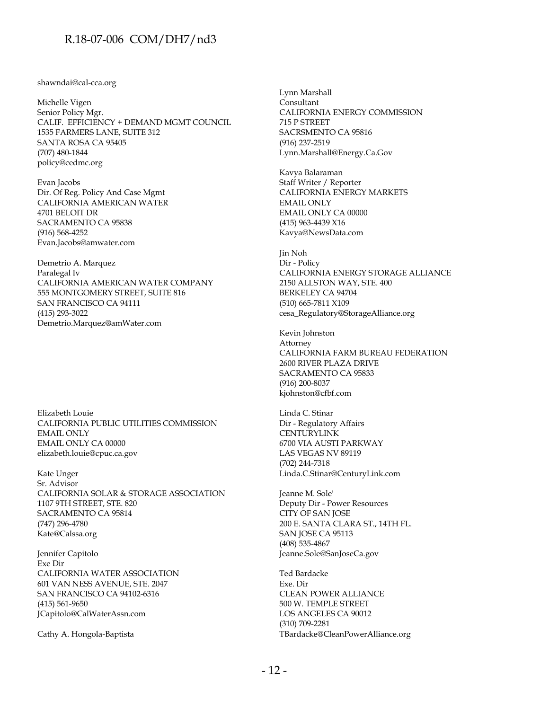#### shawndai@cal-cca.org

Michelle Vigen Senior Policy Mgr. CALIF. EFFICIENCY + DEMAND MGMT COUNCIL 1535 FARMERS LANE, SUITE 312 SANTA ROSA CA 95405 (707) 480-1844 policy@cedmc.org

Evan Jacobs Dir. Of Reg. Policy And Case Mgmt CALIFORNIA AMERICAN WATER 4701 BELOIT DR SACRAMENTO CA 95838 (916) 568-4252 Evan.Jacobs@amwater.com

Demetrio A. Marquez Paralegal Iv CALIFORNIA AMERICAN WATER COMPANY 555 MONTGOMERY STREET, SUITE 816 SAN FRANCISCO CA 94111 (415) 293-3022 Demetrio.Marquez@amWater.com

Elizabeth Louie CALIFORNIA PUBLIC UTILITIES COMMISSION EMAIL ONLY EMAIL ONLY CA 00000 elizabeth.louie@cpuc.ca.gov

Kate Unger Sr. Advisor CALIFORNIA SOLAR & STORAGE ASSOCIATION 1107 9TH STREET, STE. 820 SACRAMENTO CA 95814 (747) 296-4780 Kate@Calssa.org

Jennifer Capitolo Exe Dir CALIFORNIA WATER ASSOCIATION 601 VAN NESS AVENUE, STE. 2047 SAN FRANCISCO CA 94102-6316 (415) 561-9650 JCapitolo@CalWaterAssn.com

Cathy A. Hongola-Baptista

Lynn Marshall Consultant CALIFORNIA ENERGY COMMISSION 715 P STREET SACRSMENTO CA 95816 (916) 237-2519 Lynn.Marshall@Energy.Ca.Gov

Kavya Balaraman Staff Writer / Reporter CALIFORNIA ENERGY MARKETS EMAIL ONLY EMAIL ONLY CA 00000 (415) 963-4439 X16 Kavya@NewsData.com

Jin Noh Dir - Policy CALIFORNIA ENERGY STORAGE ALLIANCE 2150 ALLSTON WAY, STE. 400 BERKELEY CA 94704 (510) 665-7811 X109 cesa\_Regulatory@StorageAlliance.org

Kevin Johnston Attorney CALIFORNIA FARM BUREAU FEDERATION 2600 RIVER PLAZA DRIVE SACRAMENTO CA 95833 (916) 200-8037 kjohnston@cfbf.com

Linda C. Stinar Dir - Regulatory Affairs **CENTURYLINK** 6700 VIA AUSTI PARKWAY LAS VEGAS NV 89119 (702) 244-7318 Linda.C.Stinar@CenturyLink.com

Jeanne M. Sole' Deputy Dir - Power Resources CITY OF SAN JOSE 200 E. SANTA CLARA ST., 14TH FL. SAN JOSE CA 95113 (408) 535-4867 Jeanne.Sole@SanJoseCa.gov

Ted Bardacke Exe. Dir CLEAN POWER ALLIANCE 500 W. TEMPLE STREET LOS ANGELES CA 90012 (310) 709-2281 TBardacke@CleanPowerAlliance.org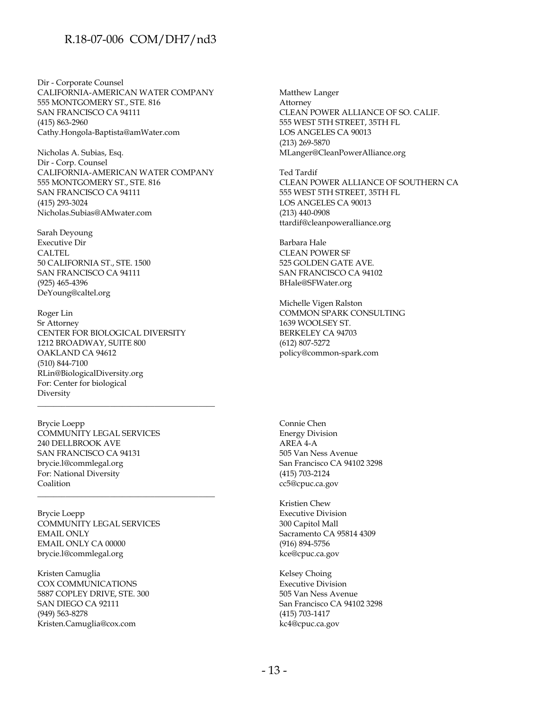Dir - Corporate Counsel CALIFORNIA-AMERICAN WATER COMPANY 555 MONTGOMERY ST., STE. 816 SAN FRANCISCO CA 94111 (415) 863-2960 Cathy.Hongola-Baptista@amWater.com

Nicholas A. Subias, Esq. Dir - Corp. Counsel CALIFORNIA-AMERICAN WATER COMPANY 555 MONTGOMERY ST., STE. 816 SAN FRANCISCO CA 94111 (415) 293-3024 Nicholas.Subias@AMwater.com

Sarah Deyoung Executive Dir CALTEL 50 CALIFORNIA ST., STE. 1500 SAN FRANCISCO CA 94111 (925) 465-4396 DeYoung@caltel.org

Roger Lin Sr Attorney CENTER FOR BIOLOGICAL DIVERSITY 1212 BROADWAY, SUITE 800 OAKLAND CA 94612 (510) 844-7100 RLin@BiologicalDiversity.org For: Center for biological Diversity

\_\_\_\_\_\_\_\_\_\_\_\_\_\_\_\_\_\_\_\_\_\_\_\_\_\_\_\_\_\_\_\_\_\_\_\_\_\_\_\_\_\_\_\_

\_\_\_\_\_\_\_\_\_\_\_\_\_\_\_\_\_\_\_\_\_\_\_\_\_\_\_\_\_\_\_\_\_\_\_\_\_\_\_\_\_\_\_\_

Brycie Loepp COMMUNITY LEGAL SERVICES 240 DELLBROOK AVE SAN FRANCISCO CA 94131 brycie.l@commlegal.org For: National Diversity Coalition

Brycie Loepp COMMUNITY LEGAL SERVICES EMAIL ONLY EMAIL ONLY CA 00000 brycie.l@commlegal.org

Kristen Camuglia COX COMMUNICATIONS 5887 COPLEY DRIVE, STE. 300 SAN DIEGO CA 92111 (949) 563-8278 Kristen.Camuglia@cox.com

Matthew Langer Attorney CLEAN POWER ALLIANCE OF SO. CALIF. 555 WEST 5TH STREET, 35TH FL LOS ANGELES CA 90013 (213) 269-5870 MLanger@CleanPowerAlliance.org

Ted Tardif CLEAN POWER ALLIANCE OF SOUTHERN CA 555 WEST 5TH STREET, 35TH FL LOS ANGELES CA 90013 (213) 440-0908 ttardif@cleanpoweralliance.org

Barbara Hale CLEAN POWER SF 525 GOLDEN GATE AVE. SAN FRANCISCO CA 94102 BHale@SFWater.org

Michelle Vigen Ralston COMMON SPARK CONSULTING 1639 WOOLSEY ST. BERKELEY CA 94703 (612) 807-5272 policy@common-spark.com

Connie Chen Energy Division AREA 4-A 505 Van Ness Avenue San Francisco CA 94102 3298 (415) 703-2124 cc5@cpuc.ca.gov

Kristien Chew Executive Division 300 Capitol Mall Sacramento CA 95814 4309 (916) 894-5756 kce@cpuc.ca.gov

Kelsey Choing Executive Division 505 Van Ness Avenue San Francisco CA 94102 3298 (415) 703-1417 kc4@cpuc.ca.gov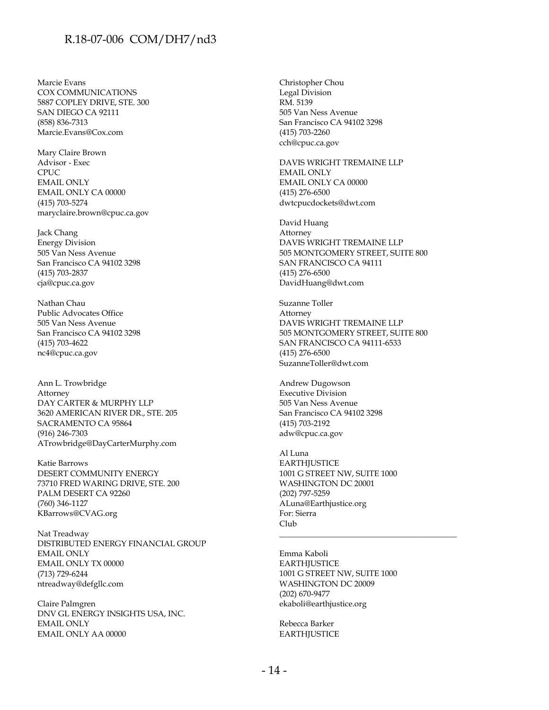Marcie Evans COX COMMUNICATIONS 5887 COPLEY DRIVE, STE. 300 SAN DIEGO CA 92111 (858) 836-7313 Marcie.Evans@Cox.com

Mary Claire Brown Advisor - Exec CPUC EMAIL ONLY EMAIL ONLY CA 00000 (415) 703-5274 maryclaire.brown@cpuc.ca.gov

Jack Chang Energy Division 505 Van Ness Avenue San Francisco CA 94102 3298 (415) 703-2837 cja@cpuc.ca.gov

Nathan Chau Public Advocates Office 505 Van Ness Avenue San Francisco CA 94102 3298 (415) 703-4622 nc4@cpuc.ca.gov

Ann L. Trowbridge Attorney DAY CARTER & MURPHY LLP 3620 AMERICAN RIVER DR., STE. 205 SACRAMENTO CA 95864 (916) 246-7303 ATrowbridge@DayCarterMurphy.com

Katie Barrows DESERT COMMUNITY ENERGY 73710 FRED WARING DRIVE, STE. 200 PALM DESERT CA 92260 (760) 346-1127 KBarrows@CVAG.org

Nat Treadway DISTRIBUTED ENERGY FINANCIAL GROUP EMAIL ONLY EMAIL ONLY TX 00000 (713) 729-6244 ntreadway@defgllc.com

Claire Palmgren DNV GL ENERGY INSIGHTS USA, INC. EMAIL ONLY EMAIL ONLY AA 00000

Christopher Chou Legal Division RM. 5139 505 Van Ness Avenue San Francisco CA 94102 3298 (415) 703-2260 cch@cpuc.ca.gov

DAVIS WRIGHT TREMAINE LLP EMAIL ONLY EMAIL ONLY CA 00000 (415) 276-6500 dwtcpucdockets@dwt.com

David Huang Attorney DAVIS WRIGHT TREMAINE LLP 505 MONTGOMERY STREET, SUITE 800 SAN FRANCISCO CA 94111 (415) 276-6500 DavidHuang@dwt.com

Suzanne Toller Attorney DAVIS WRIGHT TREMAINE LLP 505 MONTGOMERY STREET, SUITE 800 SAN FRANCISCO CA 94111-6533 (415) 276-6500 SuzanneToller@dwt.com

Andrew Dugowson Executive Division 505 Van Ness Avenue San Francisco CA 94102 3298 (415) 703-2192 adw@cpuc.ca.gov

Al Luna **EARTHJUSTICE** 1001 G STREET NW, SUITE 1000 WASHINGTON DC 20001 (202) 797-5259 ALuna@Earthjustice.org For: Sierra Club

Emma Kaboli **EARTHJUSTICE** 1001 G STREET NW, SUITE 1000 WASHINGTON DC 20009 (202) 670-9477 ekaboli@earthjustice.org

\_\_\_\_\_\_\_\_\_\_\_\_\_\_\_\_\_\_\_\_\_\_\_\_\_\_\_\_\_\_\_\_\_\_\_\_\_\_\_\_\_\_\_\_

Rebecca Barker **EARTHJUSTICE**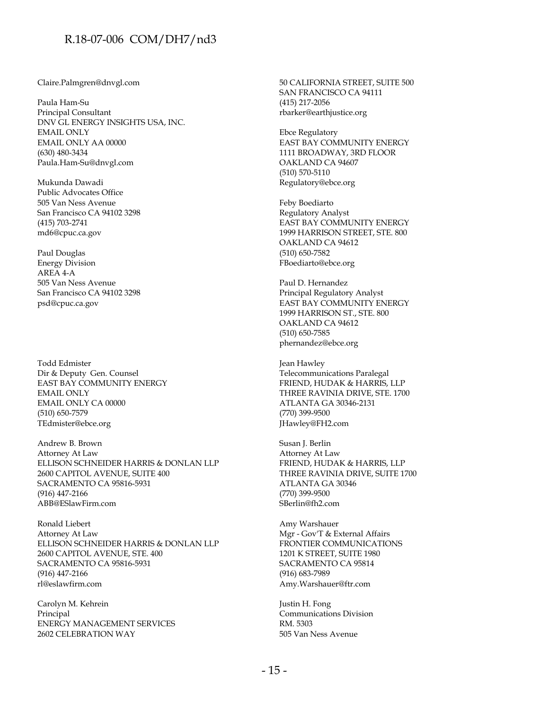Claire.Palmgren@dnvgl.com

Paula Ham-Su Principal Consultant DNV GL ENERGY INSIGHTS USA, INC. EMAIL ONLY EMAIL ONLY AA 00000 (630) 480-3434 Paula.Ham-Su@dnvgl.com

Mukunda Dawadi Public Advocates Office 505 Van Ness Avenue San Francisco CA 94102 3298 (415) 703-2741 md6@cpuc.ca.gov

Paul Douglas Energy Division AREA 4-A 505 Van Ness Avenue San Francisco CA 94102 3298 psd@cpuc.ca.gov

Todd Edmister Dir & Deputy Gen. Counsel EAST BAY COMMUNITY ENERGY EMAIL ONLY EMAIL ONLY CA 00000 (510) 650-7579 TEdmister@ebce.org

Andrew B. Brown Attorney At Law ELLISON SCHNEIDER HARRIS & DONLAN LLP 2600 CAPITOL AVENUE, SUITE 400 SACRAMENTO CA 95816-5931 (916) 447-2166 ABB@ESlawFirm.com

Ronald Liebert Attorney At Law ELLISON SCHNEIDER HARRIS & DONLAN LLP 2600 CAPITOL AVENUE, STE. 400 SACRAMENTO CA 95816-5931 (916) 447-2166 rl@eslawfirm.com

Carolyn M. Kehrein Principal ENERGY MANAGEMENT SERVICES 2602 CELEBRATION WAY

50 CALIFORNIA STREET, SUITE 500 SAN FRANCISCO CA 94111 (415) 217-2056 rbarker@earthjustice.org

Ebce Regulatory EAST BAY COMMUNITY ENERGY 1111 BROADWAY, 3RD FLOOR OAKLAND CA 94607 (510) 570-5110 Regulatory@ebce.org

Feby Boediarto Regulatory Analyst EAST BAY COMMUNITY ENERGY 1999 HARRISON STREET, STE. 800 OAKLAND CA 94612 (510) 650-7582 FBoediarto@ebce.org

Paul D. Hernandez Principal Regulatory Analyst EAST BAY COMMUNITY ENERGY 1999 HARRISON ST., STE. 800 OAKLAND CA 94612 (510) 650-7585 phernandez@ebce.org

Jean Hawley Telecommunications Paralegal FRIEND, HUDAK & HARRIS, LLP THREE RAVINIA DRIVE, STE. 1700 ATLANTA GA 30346-2131 (770) 399-9500 JHawley@FH2.com

Susan J. Berlin Attorney At Law FRIEND, HUDAK & HARRIS, LLP THREE RAVINIA DRIVE, SUITE 1700 ATLANTA GA 30346 (770) 399-9500 SBerlin@fh2.com

Amy Warshauer Mgr - Gov'T & External Affairs FRONTIER COMMUNICATIONS 1201 K STREET, SUITE 1980 SACRAMENTO CA 95814 (916) 683-7989 Amy.Warshauer@ftr.com

Justin H. Fong Communications Division RM. 5303 505 Van Ness Avenue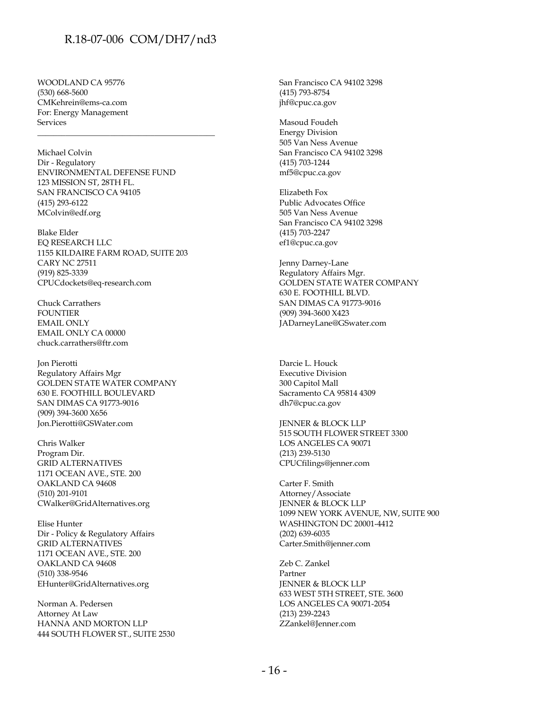WOODLAND CA 95776 (530) 668-5600 CMKehrein@ems-ca.com For: Energy Management Services

Michael Colvin Dir - Regulatory ENVIRONMENTAL DEFENSE FUND 123 MISSION ST, 28TH FL. SAN FRANCISCO CA 94105 (415) 293-6122 MColvin@edf.org

\_\_\_\_\_\_\_\_\_\_\_\_\_\_\_\_\_\_\_\_\_\_\_\_\_\_\_\_\_\_\_\_\_\_\_\_\_\_\_\_\_\_\_\_

Blake Elder EQ RESEARCH LLC 1155 KILDAIRE FARM ROAD, SUITE 203 CARY NC 27511 (919) 825-3339 CPUCdockets@eq-research.com

Chuck Carrathers FOUNTIER EMAIL ONLY EMAIL ONLY CA 00000 chuck.carrathers@ftr.com

Jon Pierotti Regulatory Affairs Mgr GOLDEN STATE WATER COMPANY 630 E. FOOTHILL BOULEVARD SAN DIMAS CA 91773-9016 (909) 394-3600 X656 Jon.Pierotti@GSWater.com

Chris Walker Program Dir. GRID ALTERNATIVES 1171 OCEAN AVE., STE. 200 OAKLAND CA 94608 (510) 201-9101 CWalker@GridAlternatives.org

Elise Hunter Dir - Policy & Regulatory Affairs GRID ALTERNATIVES 1171 OCEAN AVE., STE. 200 OAKLAND CA 94608 (510) 338-9546 EHunter@GridAlternatives.org

Norman A. Pedersen Attorney At Law HANNA AND MORTON LLP 444 SOUTH FLOWER ST., SUITE 2530 San Francisco CA 94102 3298 (415) 793-8754 jhf@cpuc.ca.gov

Masoud Foudeh Energy Division 505 Van Ness Avenue San Francisco CA 94102 3298 (415) 703-1244 mf5@cpuc.ca.gov

Elizabeth Fox Public Advocates Office 505 Van Ness Avenue San Francisco CA 94102 3298 (415) 703-2247 ef1@cpuc.ca.gov

Jenny Darney-Lane Regulatory Affairs Mgr. GOLDEN STATE WATER COMPANY 630 E. FOOTHILL BLVD. SAN DIMAS CA 91773-9016 (909) 394-3600 X423 JADarneyLane@GSwater.com

Darcie L. Houck Executive Division 300 Capitol Mall Sacramento CA 95814 4309 dh7@cpuc.ca.gov

JENNER & BLOCK LLP 515 SOUTH FLOWER STREET 3300 LOS ANGELES CA 90071 (213) 239-5130 CPUCfilings@jenner.com

Carter F. Smith Attorney/Associate JENNER & BLOCK LLP 1099 NEW YORK AVENUE, NW, SUITE 900 WASHINGTON DC 20001-4412 (202) 639-6035 Carter.Smith@jenner.com

Zeb C. Zankel Partner JENNER & BLOCK LLP 633 WEST 5TH STREET, STE. 3600 LOS ANGELES CA 90071-2054 (213) 239-2243 ZZankel@Jenner.com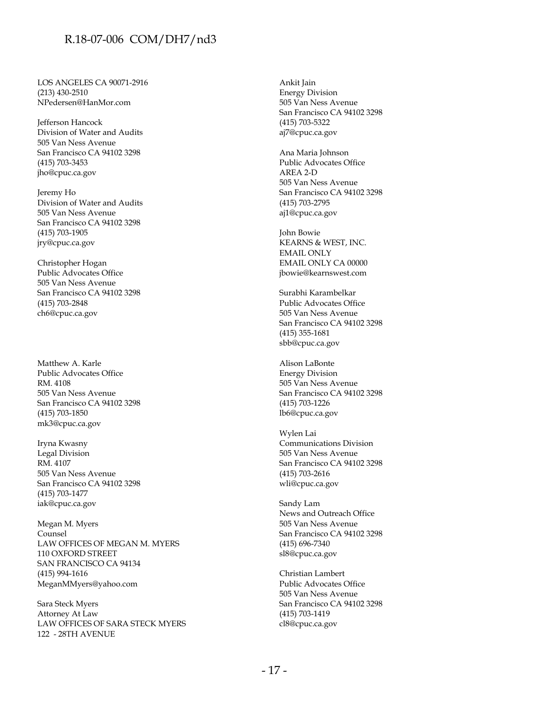LOS ANGELES CA 90071-2916 (213) 430-2510 NPedersen@HanMor.com

Jefferson Hancock Division of Water and Audits 505 Van Ness Avenue San Francisco CA 94102 3298 (415) 703-3453 jho@cpuc.ca.gov

Jeremy Ho Division of Water and Audits 505 Van Ness Avenue San Francisco CA 94102 3298 (415) 703-1905 jry@cpuc.ca.gov

Christopher Hogan Public Advocates Office 505 Van Ness Avenue San Francisco CA 94102 3298 (415) 703-2848 ch6@cpuc.ca.gov

Matthew A. Karle Public Advocates Office RM. 4108 505 Van Ness Avenue San Francisco CA 94102 3298 (415) 703-1850 mk3@cpuc.ca.gov

Iryna Kwasny Legal Division RM. 4107 505 Van Ness Avenue San Francisco CA 94102 3298 (415) 703-1477 iak@cpuc.ca.gov

Megan M. Myers Counsel LAW OFFICES OF MEGAN M. MYERS 110 OXFORD STREET SAN FRANCISCO CA 94134 (415) 994-1616 MeganMMyers@yahoo.com

Sara Steck Myers Attorney At Law LAW OFFICES OF SARA STECK MYERS 122 - 28TH AVENUE

Ankit Jain Energy Division 505 Van Ness Avenue San Francisco CA 94102 3298 (415) 703-5322 aj7@cpuc.ca.gov

Ana Maria Johnson Public Advocates Office AREA 2-D 505 Van Ness Avenue San Francisco CA 94102 3298 (415) 703-2795 aj1@cpuc.ca.gov

John Bowie KEARNS & WEST, INC. EMAIL ONLY EMAIL ONLY CA 00000 jbowie@kearnswest.com

Surabhi Karambelkar Public Advocates Office 505 Van Ness Avenue San Francisco CA 94102 3298 (415) 355-1681 sbb@cpuc.ca.gov

Alison LaBonte Energy Division 505 Van Ness Avenue San Francisco CA 94102 3298 (415) 703-1226 lb6@cpuc.ca.gov

Wylen Lai Communications Division 505 Van Ness Avenue San Francisco CA 94102 3298 (415) 703-2616 wli@cpuc.ca.gov

Sandy Lam News and Outreach Office 505 Van Ness Avenue San Francisco CA 94102 3298 (415) 696-7340 sl8@cpuc.ca.gov

Christian Lambert Public Advocates Office 505 Van Ness Avenue San Francisco CA 94102 3298 (415) 703-1419 cl8@cpuc.ca.gov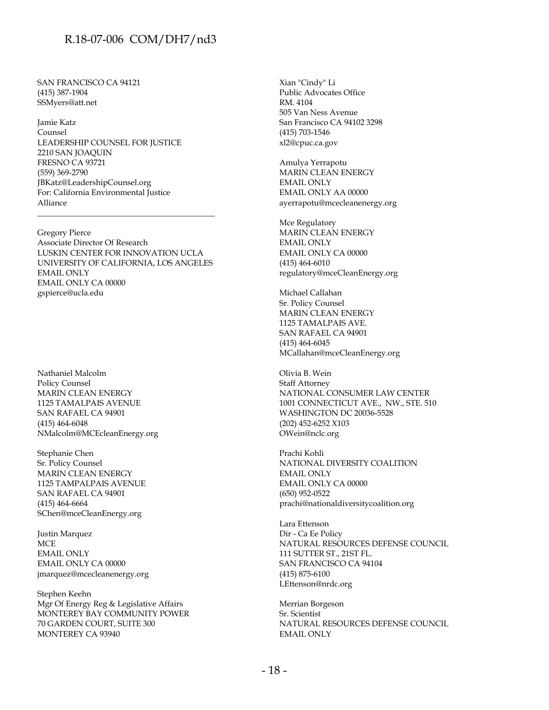SAN FRANCISCO CA 94121 (415) 387-1904 SSMyers@att.net

Jamie Katz Counsel LEADERSHIP COUNSEL FOR JUSTICE 2210 SAN JOAQUIN FRESNO CA 93721 (559) 369-2790 JBKatz@LeadershipCounsel.org For: California Environmental Justice Alliance

Gregory Pierce Associate Director Of Research LUSKIN CENTER FOR INNOVATION UCLA UNIVERSITY OF CALIFORNIA, LOS ANGELES EMAIL ONLY EMAIL ONLY CA 00000 gspierce@ucla.edu

\_\_\_\_\_\_\_\_\_\_\_\_\_\_\_\_\_\_\_\_\_\_\_\_\_\_\_\_\_\_\_\_\_\_\_\_\_\_\_\_\_\_\_\_

Nathaniel Malcolm Policy Counsel MARIN CLEAN ENERGY 1125 TAMALPAIS AVENUE SAN RAFAEL CA 94901 (415) 464-6048 NMalcolm@MCEcleanEnergy.org

Stephanie Chen Sr. Policy Counsel MARIN CLEAN ENERGY 1125 TAMPALPAIS AVENUE SAN RAFAEL CA 94901 (415) 464-6664 SChen@mceCleanEnergy.org

Justin Marquez **MCE** EMAIL ONLY EMAIL ONLY CA 00000 jmarquez@mcecleanenergy.org

Stephen Keehn Mgr Of Energy Reg & Legislative Affairs MONTEREY BAY COMMUNITY POWER 70 GARDEN COURT, SUITE 300 MONTEREY CA 93940

Xian "Cindy" Li Public Advocates Office RM. 4104 505 Van Ness Avenue San Francisco CA 94102 3298 (415) 703-1546 xl2@cpuc.ca.gov

Amulya Yerrapotu MARIN CLEAN ENERGY EMAIL ONLY EMAIL ONLY AA 00000 ayerrapotu@mcecleanenergy.org

Mce Regulatory MARIN CLEAN ENERGY EMAIL ONLY EMAIL ONLY CA 00000 (415) 464-6010 regulatory@mceCleanEnergy.org

Michael Callahan Sr. Policy Counsel MARIN CLEAN ENERGY 1125 TAMALPAIS AVE. SAN RAFAEL CA 94901 (415) 464-6045 MCallahan@mceCleanEnergy.org

Olivia B. Wein Staff Attorney NATIONAL CONSUMER LAW CENTER 1001 CONNECTICUT AVE., NW., STE. 510 WASHINGTON DC 20036-5528 (202) 452-6252 X103 OWein@nclc.org

Prachi Kohli NATIONAL DIVERSITY COALITION EMAIL ONLY EMAIL ONLY CA 00000 (650) 952-0522 prachi@nationaldiversitycoalition.org

Lara Ettenson Dir - Ca Ee Policy NATURAL RESOURCES DEFENSE COUNCIL 111 SUTTER ST., 21ST FL. SAN FRANCISCO CA 94104 (415) 875-6100 LEttenson@nrdc.org

Merrian Borgeson Sr. Scientist NATURAL RESOURCES DEFENSE COUNCIL EMAIL ONLY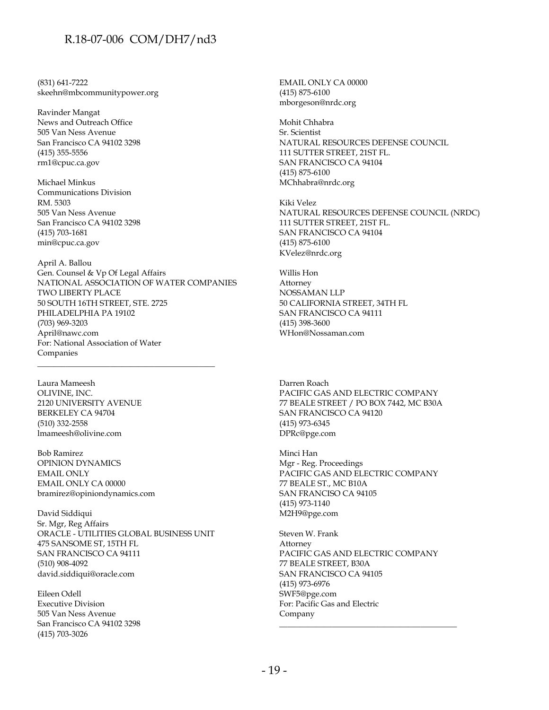(831) 641-7222 skeehn@mbcommunitypower.org

Ravinder Mangat News and Outreach Office 505 Van Ness Avenue San Francisco CA 94102 3298 (415) 355-5556 rm1@cpuc.ca.gov

Michael Minkus Communications Division RM. 5303 505 Van Ness Avenue San Francisco CA 94102 3298 (415) 703-1681 min@cpuc.ca.gov

April A. Ballou Gen. Counsel & Vp Of Legal Affairs NATIONAL ASSOCIATION OF WATER COMPANIES TWO LIBERTY PLACE 50 SOUTH 16TH STREET, STE. 2725 PHILADELPHIA PA 19102 (703) 969-3203 April@nawc.com For: National Association of Water Companies

\_\_\_\_\_\_\_\_\_\_\_\_\_\_\_\_\_\_\_\_\_\_\_\_\_\_\_\_\_\_\_\_\_\_\_\_\_\_\_\_\_\_\_\_

Laura Mameesh OLIVINE, INC. 2120 UNIVERSITY AVENUE BERKELEY CA 94704 (510) 332-2558 lmameesh@olivine.com

Bob Ramirez OPINION DYNAMICS EMAIL ONLY EMAIL ONLY CA 00000 bramirez@opiniondynamics.com

David Siddiqui Sr. Mgr, Reg Affairs ORACLE - UTILITIES GLOBAL BUSINESS UNIT 475 SANSOME ST, 15TH FL SAN FRANCISCO CA 94111 (510) 908-4092 david.siddiqui@oracle.com

Eileen Odell Executive Division 505 Van Ness Avenue San Francisco CA 94102 3298 (415) 703-3026

EMAIL ONLY CA 00000 (415) 875-6100 mborgeson@nrdc.org

Mohit Chhabra Sr. Scientist NATURAL RESOURCES DEFENSE COUNCIL 111 SUTTER STREET, 21ST FL. SAN FRANCISCO CA 94104 (415) 875-6100 MChhabra@nrdc.org

Kiki Velez NATURAL RESOURCES DEFENSE COUNCIL (NRDC) 111 SUTTER STREET, 21ST FL. SAN FRANCISCO CA 94104 (415) 875-6100 KVelez@nrdc.org

Willis Hon Attorney NOSSAMAN LLP 50 CALIFORNIA STREET, 34TH FL SAN FRANCISCO CA 94111 (415) 398-3600 WHon@Nossaman.com

Darren Roach PACIFIC GAS AND ELECTRIC COMPANY 77 BEALE STREET / PO BOX 7442, MC B30A SAN FRANCISCO CA 94120 (415) 973-6345 DPRc@pge.com

Minci Han Mgr - Reg. Proceedings PACIFIC GAS AND ELECTRIC COMPANY 77 BEALE ST., MC B10A SAN FRANCISO CA 94105 (415) 973-1140 M2H9@pge.com

Steven W. Frank Attorney PACIFIC GAS AND ELECTRIC COMPANY 77 BEALE STREET, B30A SAN FRANCISCO CA 94105 (415) 973-6976 SWF5@pge.com For: Pacific Gas and Electric Company

\_\_\_\_\_\_\_\_\_\_\_\_\_\_\_\_\_\_\_\_\_\_\_\_\_\_\_\_\_\_\_\_\_\_\_\_\_\_\_\_\_\_\_\_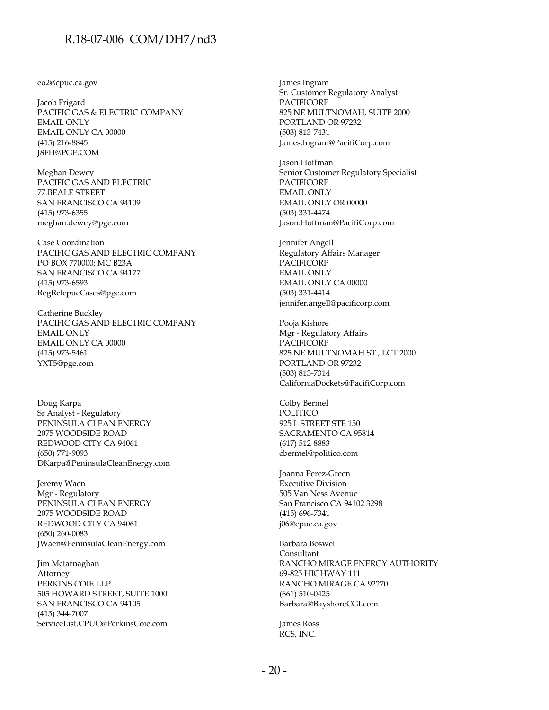#### eo2@cpuc.ca.gov

Jacob Frigard PACIFIC GAS & ELECTRIC COMPANY EMAIL ONLY EMAIL ONLY CA 00000 (415) 216-8845 J8FH@PGE.COM

Meghan Dewey PACIFIC GAS AND ELECTRIC 77 BEALE STREET SAN FRANCISCO CA 94109 (415) 973-6355 meghan.dewey@pge.com

Case Coordination PACIFIC GAS AND ELECTRIC COMPANY PO BOX 770000; MC B23A SAN FRANCISCO CA 94177 (415) 973-6593 RegRelcpucCases@pge.com

Catherine Buckley PACIFIC GAS AND ELECTRIC COMPANY EMAIL ONLY EMAIL ONLY CA 00000 (415) 973-5461 YXT5@pge.com

Doug Karpa Sr Analyst - Regulatory PENINSULA CLEAN ENERGY 2075 WOODSIDE ROAD REDWOOD CITY CA 94061 (650) 771-9093 DKarpa@PeninsulaCleanEnergy.com

Jeremy Waen Mgr - Regulatory PENINSULA CLEAN ENERGY 2075 WOODSIDE ROAD REDWOOD CITY CA 94061 (650) 260-0083 JWaen@PeninsulaCleanEnergy.com

Jim Mctarnaghan Attorney PERKINS COIE LLP 505 HOWARD STREET, SUITE 1000 SAN FRANCISCO CA 94105 (415) 344-7007 ServiceList.CPUC@PerkinsCoie.com James Ingram Sr. Customer Regulatory Analyst PACIFICORP 825 NE MULTNOMAH, SUITE 2000 PORTLAND OR 97232 (503) 813-7431 James.Ingram@PacifiCorp.com

Jason Hoffman Senior Customer Regulatory Specialist PACIFICORP EMAIL ONLY EMAIL ONLY OR 00000 (503) 331-4474 Jason.Hoffman@PacifiCorp.com

Jennifer Angell Regulatory Affairs Manager PACIFICORP EMAIL ONLY EMAIL ONLY CA 00000 (503) 331-4414 jennifer.angell@pacificorp.com

Pooja Kishore Mgr - Regulatory Affairs PACIFICORP 825 NE MULTNOMAH ST., LCT 2000 PORTLAND OR 97232 (503) 813-7314 CaliforniaDockets@PacifiCorp.com

Colby Bermel POLITICO 925 L STREET STE 150 SACRAMENTO CA 95814 (617) 512-8883 cbermel@politico.com

Joanna Perez-Green Executive Division 505 Van Ness Avenue San Francisco CA 94102 3298 (415) 696-7341 j06@cpuc.ca.gov

Barbara Boswell Consultant RANCHO MIRAGE ENERGY AUTHORITY 69-825 HIGHWAY 111 RANCHO MIRAGE CA 92270 (661) 510-0425 Barbara@BayshoreCGI.com

James Ross RCS, INC.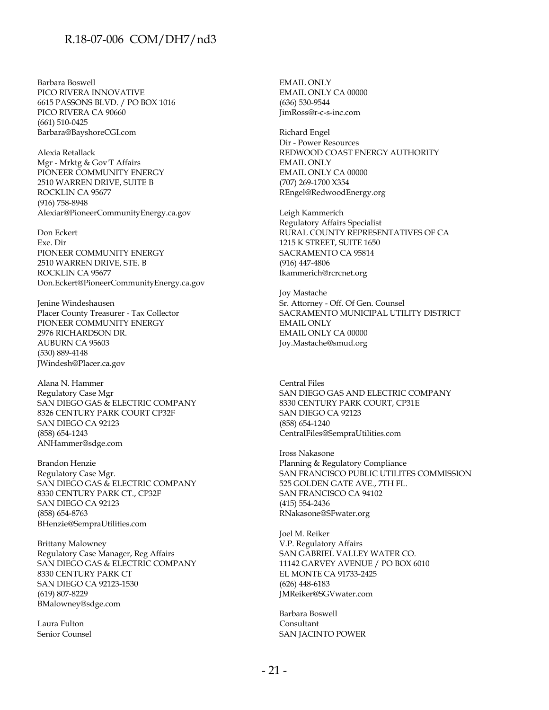Barbara Boswell PICO RIVERA INNOVATIVE 6615 PASSONS BLVD. / PO BOX 1016 PICO RIVERA CA 90660 (661) 510-0425 Barbara@BayshoreCGI.com

Alexia Retallack Mgr - Mrktg & Gov'T Affairs PIONEER COMMUNITY ENERGY 2510 WARREN DRIVE, SUITE B ROCKLIN CA 95677 (916) 758-8948 Alexiar@PioneerCommunityEnergy.ca.gov

Don Eckert Exe. Dir PIONEER COMMUNITY ENERGY 2510 WARREN DRIVE, STE. B ROCKLIN CA 95677 Don.Eckert@PioneerCommunityEnergy.ca.gov

Jenine Windeshausen Placer County Treasurer - Tax Collector PIONEER COMMUNITY ENERGY 2976 RICHARDSON DR. AUBURN CA 95603 (530) 889-4148 JWindesh@Placer.ca.gov

Alana N. Hammer Regulatory Case Mgr SAN DIEGO GAS & ELECTRIC COMPANY 8326 CENTURY PARK COURT CP32F SAN DIEGO CA 92123 (858) 654-1243 ANHammer@sdge.com

Brandon Henzie Regulatory Case Mgr. SAN DIEGO GAS & ELECTRIC COMPANY 8330 CENTURY PARK CT., CP32F SAN DIEGO CA 92123 (858) 654-8763 BHenzie@SempraUtilities.com

Brittany Malowney Regulatory Case Manager, Reg Affairs SAN DIEGO GAS & ELECTRIC COMPANY 8330 CENTURY PARK CT SAN DIEGO CA 92123-1530 (619) 807-8229 BMalowney@sdge.com

Laura Fulton Senior Counsel EMAIL ONLY EMAIL ONLY CA 00000 (636) 530-9544 JimRoss@r-c-s-inc.com

Richard Engel Dir - Power Resources REDWOOD COAST ENERGY AUTHORITY EMAIL ONLY EMAIL ONLY CA 00000 (707) 269-1700 X354 REngel@RedwoodEnergy.org

Leigh Kammerich Regulatory Affairs Specialist RURAL COUNTY REPRESENTATIVES OF CA 1215 K STREET, SUITE 1650 SACRAMENTO CA 95814 (916) 447-4806 lkammerich@rcrcnet.org

Joy Mastache Sr. Attorney - Off. Of Gen. Counsel SACRAMENTO MUNICIPAL UTILITY DISTRICT EMAIL ONLY EMAIL ONLY CA 00000 Joy.Mastache@smud.org

Central Files SAN DIEGO GAS AND ELECTRIC COMPANY 8330 CENTURY PARK COURT, CP31E SAN DIEGO CA 92123 (858) 654-1240 CentralFiles@SempraUtilities.com

Iross Nakasone Planning & Regulatory Compliance SAN FRANCISCO PUBLIC UTILITES COMMISSION 525 GOLDEN GATE AVE., 7TH FL. SAN FRANCISCO CA 94102 (415) 554-2436 RNakasone@SFwater.org

Joel M. Reiker V.P. Regulatory Affairs SAN GABRIEL VALLEY WATER CO. 11142 GARVEY AVENUE / PO BOX 6010 EL MONTE CA 91733-2425 (626) 448-6183 JMReiker@SGVwater.com

Barbara Boswell Consultant SAN JACINTO POWER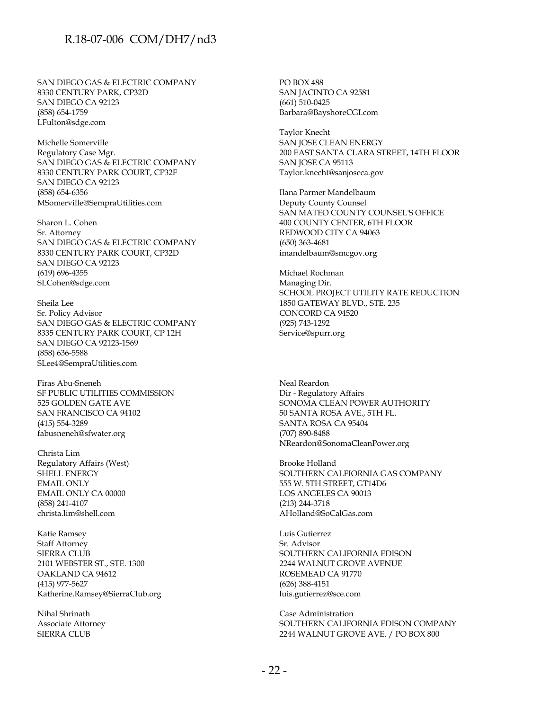SAN DIEGO GAS & ELECTRIC COMPANY 8330 CENTURY PARK, CP32D SAN DIEGO CA 92123 (858) 654-1759 LFulton@sdge.com

Michelle Somerville Regulatory Case Mgr. SAN DIEGO GAS & ELECTRIC COMPANY 8330 CENTURY PARK COURT, CP32F SAN DIEGO CA 92123 (858) 654-6356 MSomerville@SempraUtilities.com

Sharon L. Cohen Sr. Attorney SAN DIEGO GAS & ELECTRIC COMPANY 8330 CENTURY PARK COURT, CP32D SAN DIEGO CA 92123 (619) 696-4355 SLCohen@sdge.com

Sheila Lee Sr. Policy Advisor SAN DIEGO GAS & ELECTRIC COMPANY 8335 CENTURY PARK COURT, CP 12H SAN DIEGO CA 92123-1569 (858) 636-5588 SLee4@SempraUtilities.com

Firas Abu-Sneneh SF PUBLIC UTILITIES COMMISSION 525 GOLDEN GATE AVE SAN FRANCISCO CA 94102 (415) 554-3289 fabusneneh@sfwater.org

Christa Lim Regulatory Affairs (West) SHELL ENERGY EMAIL ONLY EMAIL ONLY CA 00000 (858) 241-4107 christa.lim@shell.com

Katie Ramsey Staff Attorney SIERRA CLUB 2101 WEBSTER ST., STE. 1300 OAKLAND CA 94612 (415) 977-5627 Katherine.Ramsey@SierraClub.org

Nihal Shrinath Associate Attorney SIERRA CLUB

PO BOX 488 SAN JACINTO CA 92581 (661) 510-0425 Barbara@BayshoreCGI.com

Taylor Knecht SAN JOSE CLEAN ENERGY 200 EAST SANTA CLARA STREET, 14TH FLOOR SAN JOSE CA 95113 Taylor.knecht@sanjoseca.gov

Ilana Parmer Mandelbaum Deputy County Counsel SAN MATEO COUNTY COUNSEL'S OFFICE 400 COUNTY CENTER, 6TH FLOOR REDWOOD CITY CA 94063 (650) 363-4681 imandelbaum@smcgov.org

Michael Rochman Managing Dir. SCHOOL PROJECT UTILITY RATE REDUCTION 1850 GATEWAY BLVD., STE. 235 CONCORD CA 94520 (925) 743-1292 Service@spurr.org

Neal Reardon Dir - Regulatory Affairs SONOMA CLEAN POWER AUTHORITY 50 SANTA ROSA AVE., 5TH FL. SANTA ROSA CA 95404 (707) 890-8488 NReardon@SonomaCleanPower.org

Brooke Holland SOUTHERN CALFIORNIA GAS COMPANY 555 W. 5TH STREET, GT14D6 LOS ANGELES CA 90013 (213) 244-3718 AHolland@SoCalGas.com

Luis Gutierrez Sr. Advisor SOUTHERN CALIFORNIA EDISON 2244 WALNUT GROVE AVENUE ROSEMEAD CA 91770 (626) 388-4151 luis.gutierrez@sce.com

Case Administration SOUTHERN CALIFORNIA EDISON COMPANY 2244 WALNUT GROVE AVE. / PO BOX 800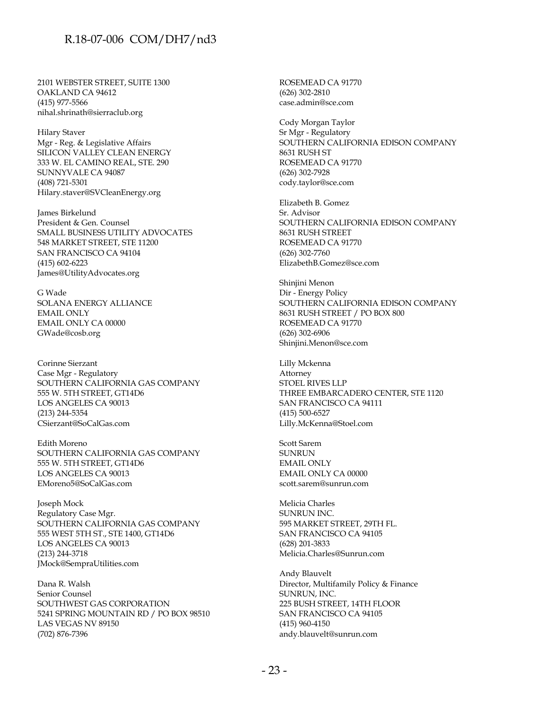2101 WEBSTER STREET, SUITE 1300 OAKLAND CA 94612 (415) 977-5566 nihal.shrinath@sierraclub.org

Hilary Staver Mgr - Reg. & Legislative Affairs SILICON VALLEY CLEAN ENERGY 333 W. EL CAMINO REAL, STE. 290 SUNNYVALE CA 94087 (408) 721-5301 Hilary.staver@SVCleanEnergy.org

James Birkelund President & Gen. Counsel SMALL BUSINESS UTILITY ADVOCATES 548 MARKET STREET, STE 11200 SAN FRANCISCO CA 94104 (415) 602-6223 James@UtilityAdvocates.org

G Wade SOLANA ENERGY ALLIANCE EMAIL ONLY EMAIL ONLY CA 00000 GWade@cosb.org

Corinne Sierzant Case Mgr - Regulatory SOUTHERN CALIFORNIA GAS COMPANY 555 W. 5TH STREET, GT14D6 LOS ANGELES CA 90013 (213) 244-5354 CSierzant@SoCalGas.com

Edith Moreno SOUTHERN CALIFORNIA GAS COMPANY 555 W. 5TH STREET, GT14D6 LOS ANGELES CA 90013 EMoreno5@SoCalGas.com

Joseph Mock Regulatory Case Mgr. SOUTHERN CALIFORNIA GAS COMPANY 555 WEST 5TH ST., STE 1400, GT14D6 LOS ANGELES CA 90013 (213) 244-3718 JMock@SempraUtilities.com

Dana R. Walsh Senior Counsel SOUTHWEST GAS CORPORATION 5241 SPRING MOUNTAIN RD / PO BOX 98510 LAS VEGAS NV 89150 (702) 876-7396

ROSEMEAD CA 91770 (626) 302-2810 case.admin@sce.com

Cody Morgan Taylor Sr Mgr - Regulatory SOUTHERN CALIFORNIA EDISON COMPANY 8631 RUSH ST ROSEMEAD CA 91770 (626) 302-7928 cody.taylor@sce.com

Elizabeth B. Gomez Sr. Advisor SOUTHERN CALIFORNIA EDISON COMPANY 8631 RUSH STREET ROSEMEAD CA 91770 (626) 302-7760 ElizabethB.Gomez@sce.com

Shinjini Menon Dir - Energy Policy SOUTHERN CALIFORNIA EDISON COMPANY 8631 RUSH STREET / PO BOX 800 ROSEMEAD CA 91770 (626) 302-6906 Shinjini.Menon@sce.com

Lilly Mckenna Attorney STOEL RIVES LLP THREE EMBARCADERO CENTER, STE 1120 SAN FRANCISCO CA 94111 (415) 500-6527 Lilly.McKenna@Stoel.com

Scott Sarem SUNRUN EMAIL ONLY EMAIL ONLY CA 00000 scott.sarem@sunrun.com

Melicia Charles SUNRUN INC. 595 MARKET STREET, 29TH FL. SAN FRANCISCO CA 94105 (628) 201-3833 Melicia.Charles@Sunrun.com

Andy Blauvelt Director, Multifamily Policy & Finance SUNRUN, INC. 225 BUSH STREET, 14TH FLOOR SAN FRANCISCO CA 94105 (415) 960-4150 andy.blauvelt@sunrun.com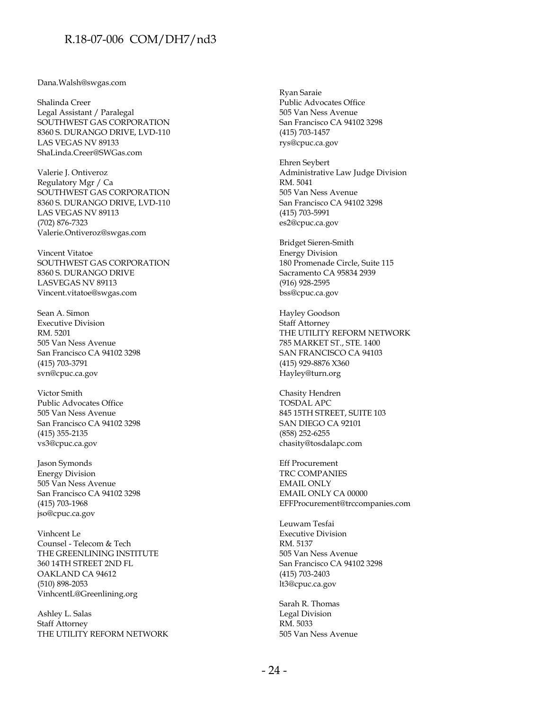Dana.Walsh@swgas.com

Shalinda Creer Legal Assistant / Paralegal SOUTHWEST GAS CORPORATION 8360 S. DURANGO DRIVE, LVD-110 LAS VEGAS NV 89133 ShaLinda.Creer@SWGas.com

Valerie J. Ontiveroz Regulatory Mgr / Ca SOUTHWEST GAS CORPORATION 8360 S. DURANGO DRIVE, LVD-110 LAS VEGAS NV 89113 (702) 876-7323 Valerie.Ontiveroz@swgas.com

Vincent Vitatoe SOUTHWEST GAS CORPORATION 8360 S. DURANGO DRIVE LASVEGAS NV 89113 Vincent.vitatoe@swgas.com

Sean A. Simon Executive Division RM. 5201 505 Van Ness Avenue San Francisco CA 94102 3298 (415) 703-3791 svn@cpuc.ca.gov

Victor Smith Public Advocates Office 505 Van Ness Avenue San Francisco CA 94102 3298 (415) 355-2135 vs3@cpuc.ca.gov

Jason Symonds Energy Division 505 Van Ness Avenue San Francisco CA 94102 3298 (415) 703-1968 jso@cpuc.ca.gov

Vinhcent Le Counsel - Telecom & Tech THE GREENLINING INSTITUTE 360 14TH STREET 2ND FL OAKLAND CA 94612 (510) 898-2053 VinhcentL@Greenlining.org

Ashley L. Salas Staff Attorney THE UTILITY REFORM NETWORK

Ryan Saraie Public Advocates Office 505 Van Ness Avenue San Francisco CA 94102 3298 (415) 703-1457 rys@cpuc.ca.gov

Ehren Seybert Administrative Law Judge Division RM. 5041 505 Van Ness Avenue San Francisco CA 94102 3298 (415) 703-5991 es2@cpuc.ca.gov

Bridget Sieren-Smith Energy Division 180 Promenade Circle, Suite 115 Sacramento CA 95834 2939 (916) 928-2595 bss@cpuc.ca.gov

Hayley Goodson Staff Attorney THE UTILITY REFORM NETWORK 785 MARKET ST., STE. 1400 SAN FRANCISCO CA 94103 (415) 929-8876 X360 Hayley@turn.org

Chasity Hendren TOSDAL APC 845 15TH STREET, SUITE 103 SAN DIEGO CA 92101 (858) 252-6255 chasity@tosdalapc.com

Eff Procurement TRC COMPANIES EMAIL ONLY EMAIL ONLY CA 00000 EFFProcurement@trccompanies.com

Leuwam Tesfai Executive Division RM. 5137 505 Van Ness Avenue San Francisco CA 94102 3298 (415) 703-2403 lt3@cpuc.ca.gov

Sarah R. Thomas Legal Division RM. 5033 505 Van Ness Avenue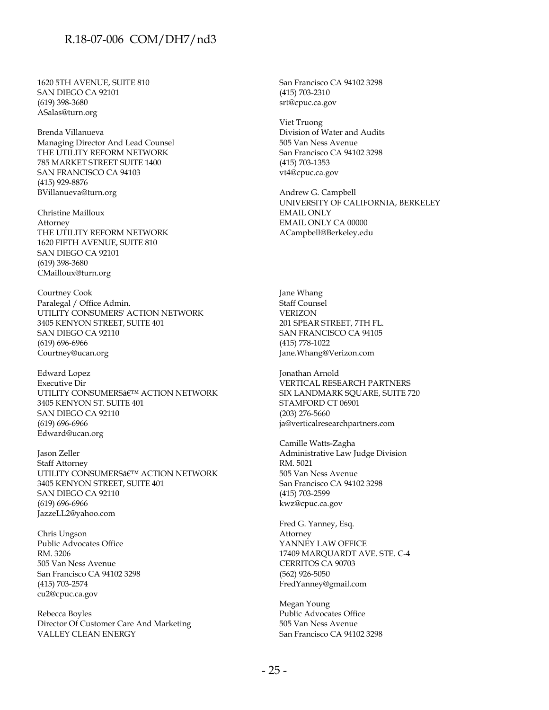1620 5TH AVENUE, SUITE 810 SAN DIEGO CA 92101 (619) 398-3680 ASalas@turn.org

Brenda Villanueva Managing Director And Lead Counsel THE UTILITY REFORM NETWORK 785 MARKET STREET SUITE 1400 SAN FRANCISCO CA 94103 (415) 929-8876 BVillanueva@turn.org

Christine Mailloux Attorney THE UTILITY REFORM NETWORK 1620 FIFTH AVENUE, SUITE 810 SAN DIEGO CA 92101 (619) 398-3680 CMailloux@turn.org

Courtney Cook Paralegal / Office Admin. UTILITY CONSUMERS' ACTION NETWORK 3405 KENYON STREET, SUITE 401 SAN DIEGO CA 92110 (619) 696-6966 Courtney@ucan.org

Edward Lopez Executive Dir UTILITY CONSUMERS<sub>â</sub> $\varepsilon$ <sup>TM</sup> ACTION NETWORK 3405 KENYON ST. SUITE 401 SAN DIEGO CA 92110 (619) 696-6966 Edward@ucan.org

Jason Zeller Staff Attorney UTILITY CONSUMERS $\hat{\mathsf{a}}$ ETM ACTION NETWORK 3405 KENYON STREET, SUITE 401 SAN DIEGO CA 92110 (619) 696-6966 JazzeLL2@yahoo.com

Chris Ungson Public Advocates Office RM. 3206 505 Van Ness Avenue San Francisco CA 94102 3298 (415) 703-2574 cu2@cpuc.ca.gov

Rebecca Boyles Director Of Customer Care And Marketing VALLEY CLEAN ENERGY

San Francisco CA 94102 3298 (415) 703-2310 srt@cpuc.ca.gov

Viet Truong Division of Water and Audits 505 Van Ness Avenue San Francisco CA 94102 3298 (415) 703-1353 vt4@cpuc.ca.gov

Andrew G. Campbell UNIVERSITY OF CALIFORNIA, BERKELEY EMAIL ONLY EMAIL ONLY CA 00000 ACampbell@Berkeley.edu

Jane Whang Staff Counsel VERIZON 201 SPEAR STREET, 7TH FL. SAN FRANCISCO CA 94105 (415) 778-1022 Jane.Whang@Verizon.com

Jonathan Arnold VERTICAL RESEARCH PARTNERS SIX LANDMARK SOUARE, SUITE 720 STAMFORD CT 06901 (203) 276-5660 ja@verticalresearchpartners.com

Camille Watts-Zagha Administrative Law Judge Division RM. 5021 505 Van Ness Avenue San Francisco CA 94102 3298 (415) 703-2599 kwz@cpuc.ca.gov

Fred G. Yanney, Esq. Attorney YANNEY LAW OFFICE 17409 MARQUARDT AVE. STE. C-4 CERRITOS CA 90703 (562) 926-5050 FredYanney@gmail.com

Megan Young Public Advocates Office 505 Van Ness Avenue San Francisco CA 94102 3298